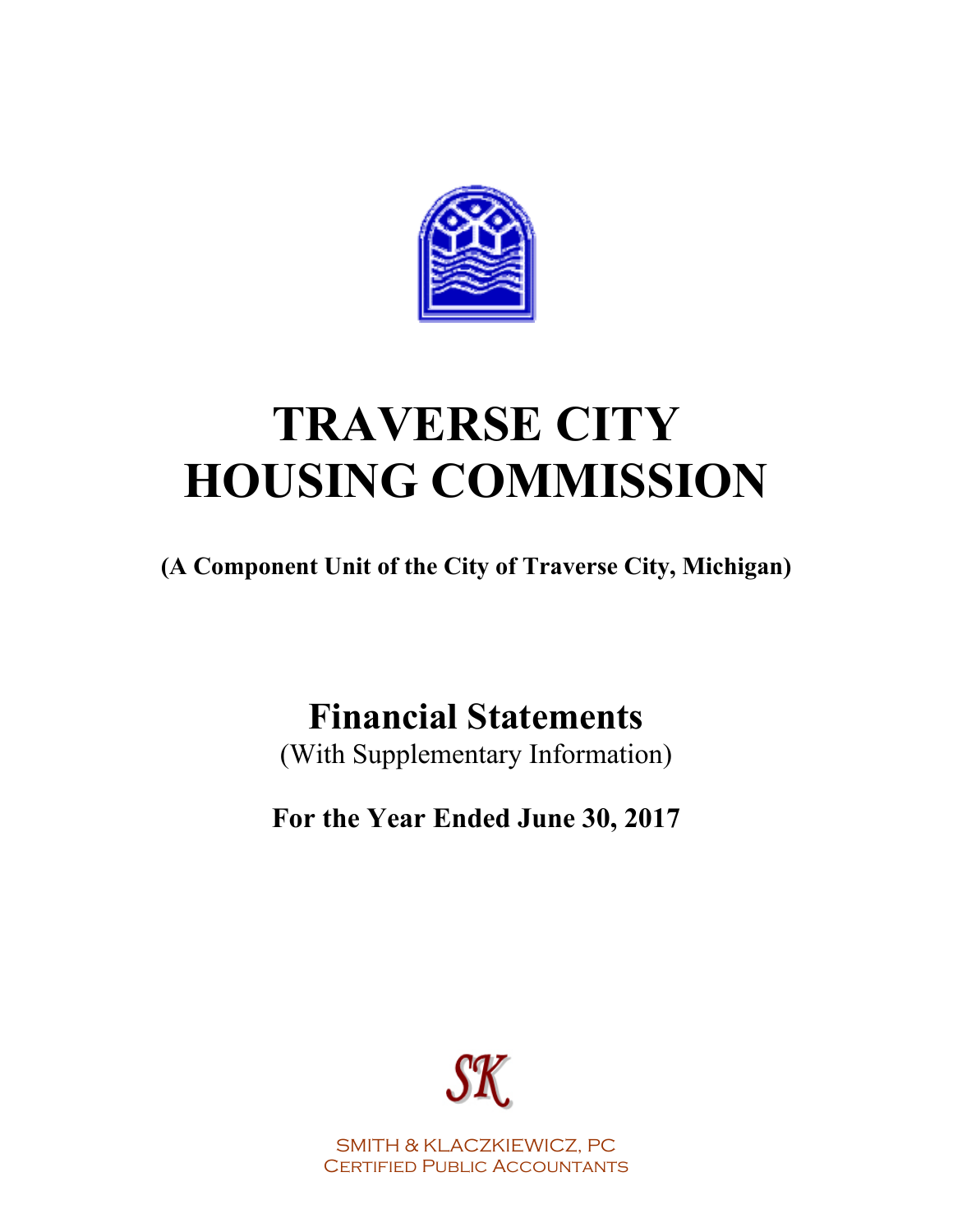

# **TRAVERSE CITY HOUSING COMMISSION**

**(A Component Unit of the City of Traverse City, Michigan)** 

**Financial Statements** 

(With Supplementary Information)

**For the Year Ended June 30, 2017**



SMITH & KLACZKIEWICZ, PC **CERTIFIED PUBLIC ACCOUNTANTS**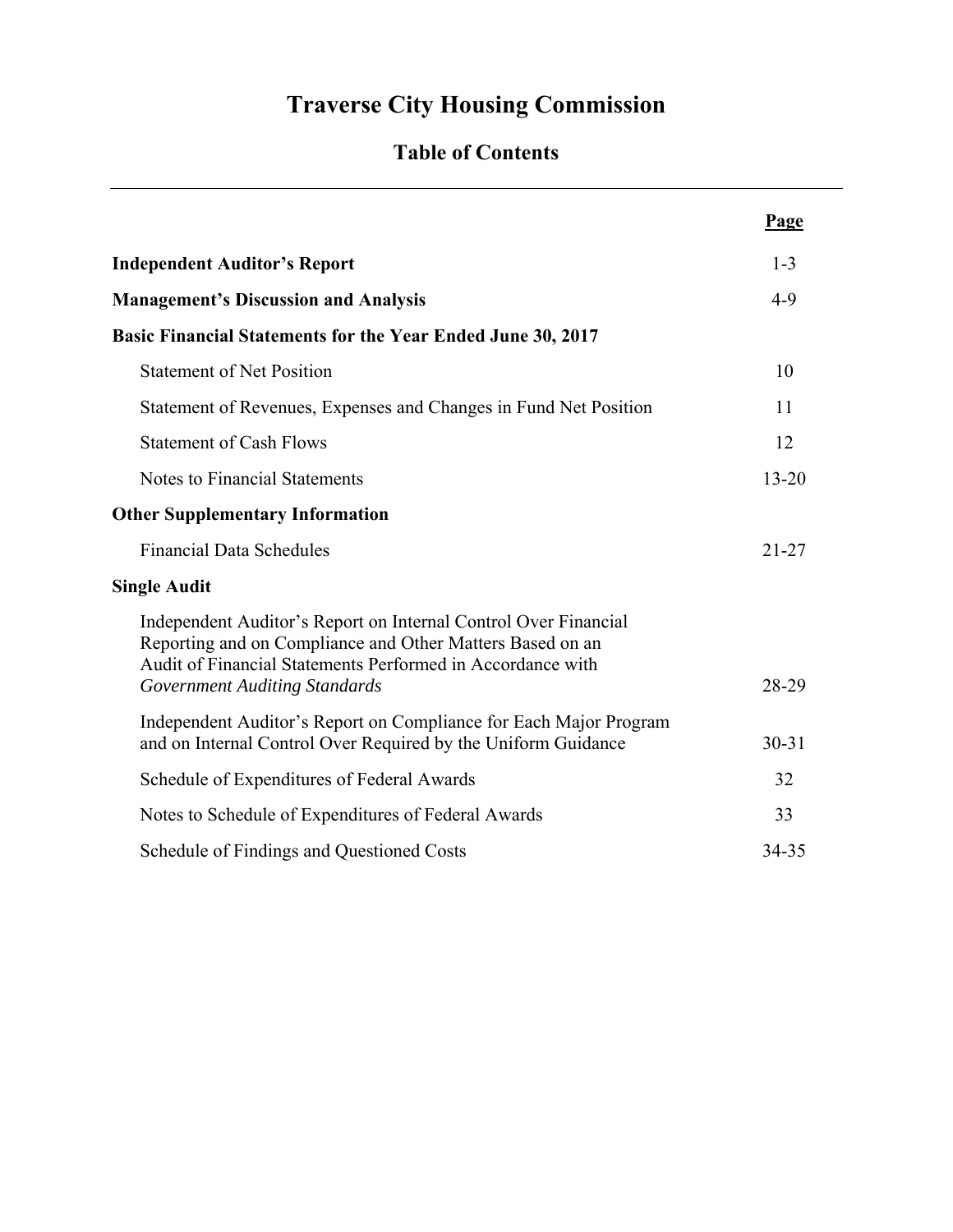### **Table of Contents**

|                                                                                                                                                                                                                                    | Page      |
|------------------------------------------------------------------------------------------------------------------------------------------------------------------------------------------------------------------------------------|-----------|
| <b>Independent Auditor's Report</b>                                                                                                                                                                                                | $1 - 3$   |
| <b>Management's Discussion and Analysis</b>                                                                                                                                                                                        | $4-9$     |
| <b>Basic Financial Statements for the Year Ended June 30, 2017</b>                                                                                                                                                                 |           |
| <b>Statement of Net Position</b>                                                                                                                                                                                                   | 10        |
| Statement of Revenues, Expenses and Changes in Fund Net Position                                                                                                                                                                   | 11        |
| <b>Statement of Cash Flows</b>                                                                                                                                                                                                     | 12        |
| Notes to Financial Statements                                                                                                                                                                                                      | $13 - 20$ |
| <b>Other Supplementary Information</b>                                                                                                                                                                                             |           |
| <b>Financial Data Schedules</b>                                                                                                                                                                                                    | $21 - 27$ |
| <b>Single Audit</b>                                                                                                                                                                                                                |           |
| Independent Auditor's Report on Internal Control Over Financial<br>Reporting and on Compliance and Other Matters Based on an<br>Audit of Financial Statements Performed in Accordance with<br><b>Government Auditing Standards</b> | 28-29     |
| Independent Auditor's Report on Compliance for Each Major Program<br>and on Internal Control Over Required by the Uniform Guidance                                                                                                 | $30 - 31$ |
| Schedule of Expenditures of Federal Awards                                                                                                                                                                                         | 32        |
| Notes to Schedule of Expenditures of Federal Awards                                                                                                                                                                                | 33        |
| Schedule of Findings and Questioned Costs                                                                                                                                                                                          | 34-35     |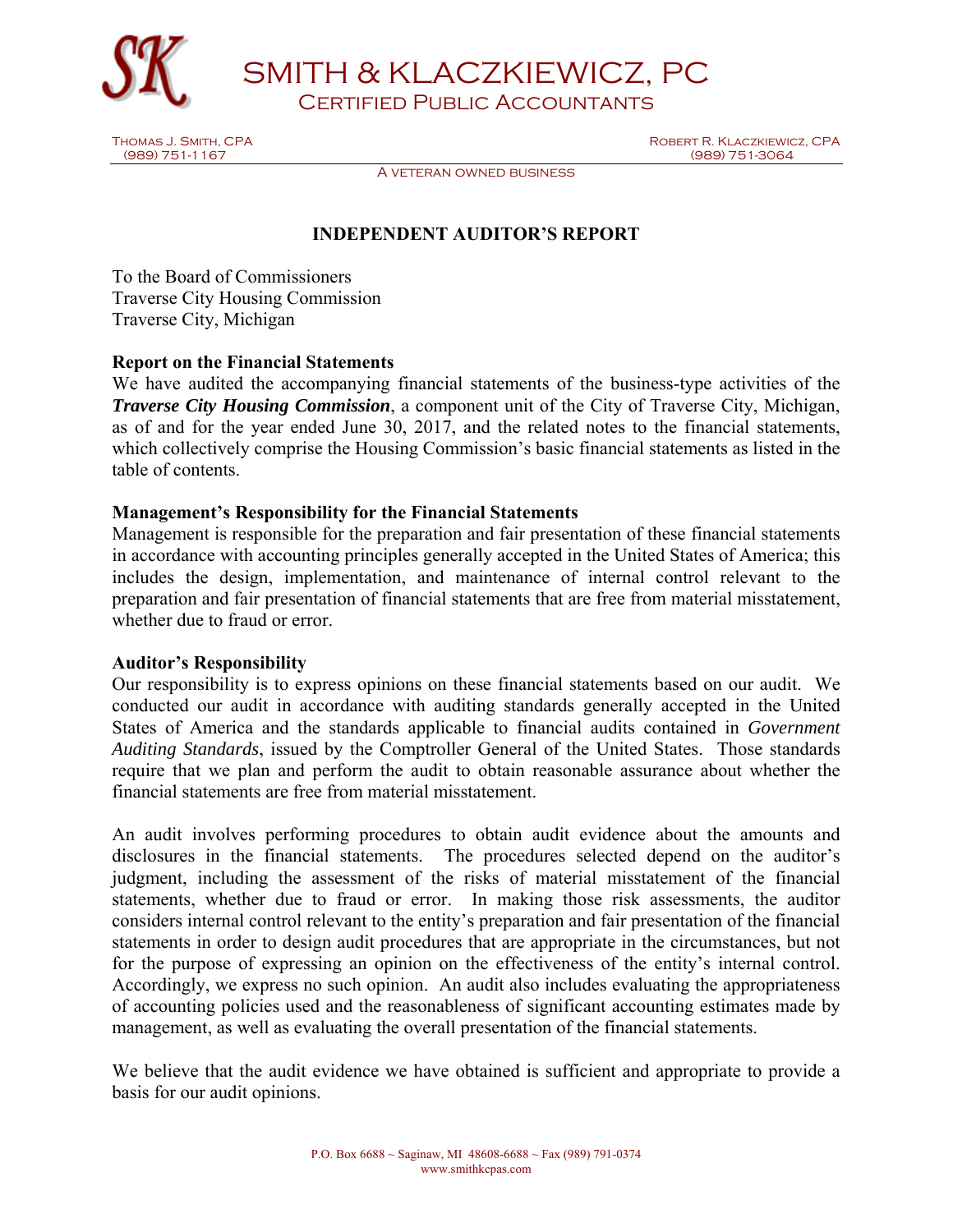

SMITH & KLACZKIEWICZ, PC Certified Public Accountants

Thomas J. Smith, CPA Robert R. Klaczkiewicz, CPA (989) 751-3064

A veteran owned business

### **INDEPENDENT AUDITOR'S REPORT**

To the Board of Commissioners Traverse City Housing Commission Traverse City, Michigan

### **Report on the Financial Statements**

We have audited the accompanying financial statements of the business-type activities of the *Traverse City Housing Commission*, a component unit of the City of Traverse City, Michigan, as of and for the year ended June 30, 2017, and the related notes to the financial statements, which collectively comprise the Housing Commission's basic financial statements as listed in the table of contents.

### **Management's Responsibility for the Financial Statements**

Management is responsible for the preparation and fair presentation of these financial statements in accordance with accounting principles generally accepted in the United States of America; this includes the design, implementation, and maintenance of internal control relevant to the preparation and fair presentation of financial statements that are free from material misstatement, whether due to fraud or error.

#### **Auditor's Responsibility**

Our responsibility is to express opinions on these financial statements based on our audit. We conducted our audit in accordance with auditing standards generally accepted in the United States of America and the standards applicable to financial audits contained in *Government Auditing Standards*, issued by the Comptroller General of the United States. Those standards require that we plan and perform the audit to obtain reasonable assurance about whether the financial statements are free from material misstatement.

An audit involves performing procedures to obtain audit evidence about the amounts and disclosures in the financial statements. The procedures selected depend on the auditor's judgment, including the assessment of the risks of material misstatement of the financial statements, whether due to fraud or error. In making those risk assessments, the auditor considers internal control relevant to the entity's preparation and fair presentation of the financial statements in order to design audit procedures that are appropriate in the circumstances, but not for the purpose of expressing an opinion on the effectiveness of the entity's internal control. Accordingly, we express no such opinion. An audit also includes evaluating the appropriateness of accounting policies used and the reasonableness of significant accounting estimates made by management, as well as evaluating the overall presentation of the financial statements.

We believe that the audit evidence we have obtained is sufficient and appropriate to provide a basis for our audit opinions.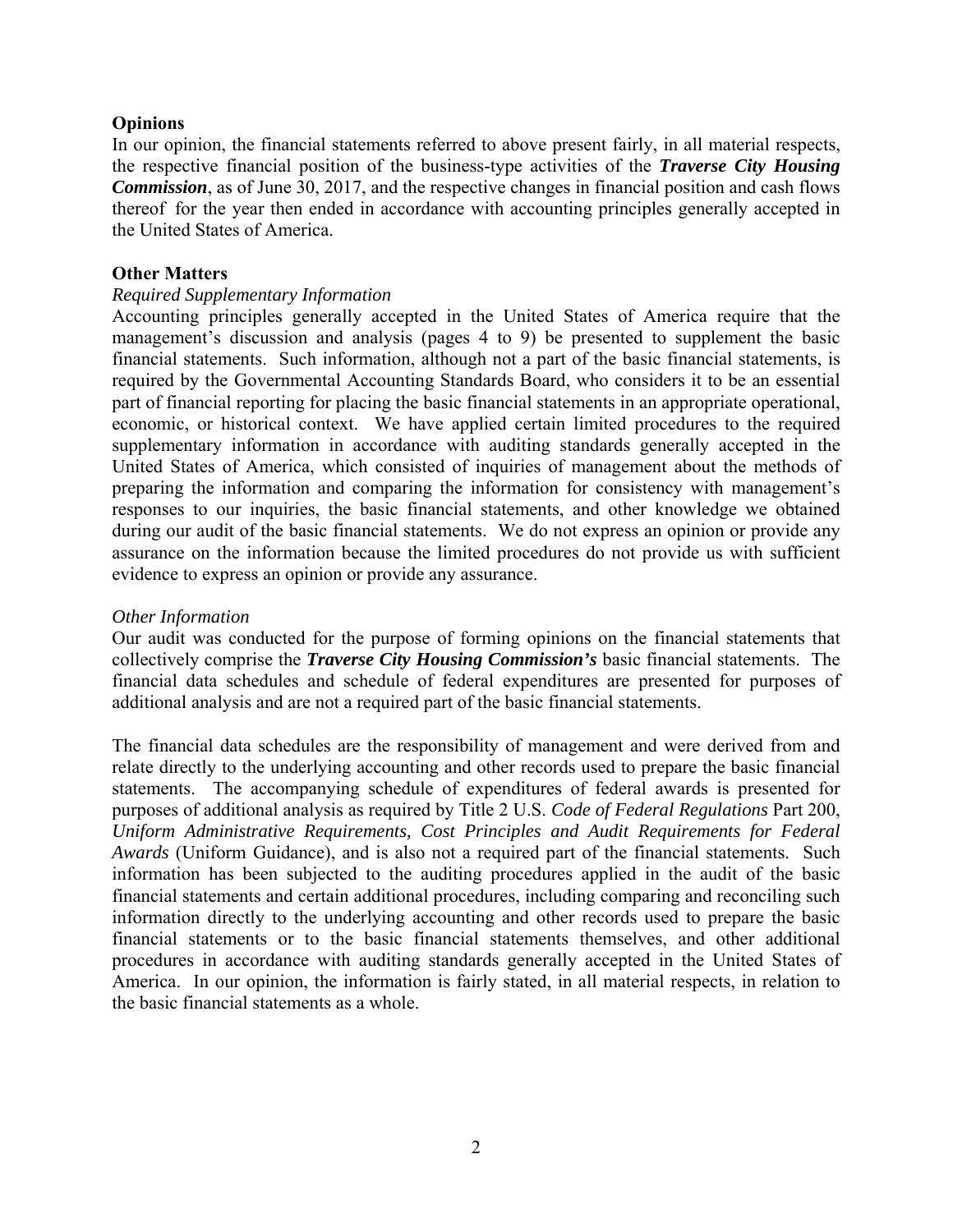### **Opinions**

In our opinion, the financial statements referred to above present fairly, in all material respects, the respective financial position of the business-type activities of the *Traverse City Housing Commission*, as of June 30, 2017, and the respective changes in financial position and cash flows thereof for the year then ended in accordance with accounting principles generally accepted in the United States of America.

### **Other Matters**

### *Required Supplementary Information*

Accounting principles generally accepted in the United States of America require that the management's discussion and analysis (pages 4 to 9) be presented to supplement the basic financial statements. Such information, although not a part of the basic financial statements, is required by the Governmental Accounting Standards Board, who considers it to be an essential part of financial reporting for placing the basic financial statements in an appropriate operational, economic, or historical context. We have applied certain limited procedures to the required supplementary information in accordance with auditing standards generally accepted in the United States of America, which consisted of inquiries of management about the methods of preparing the information and comparing the information for consistency with management's responses to our inquiries, the basic financial statements, and other knowledge we obtained during our audit of the basic financial statements. We do not express an opinion or provide any assurance on the information because the limited procedures do not provide us with sufficient evidence to express an opinion or provide any assurance.

#### *Other Information*

Our audit was conducted for the purpose of forming opinions on the financial statements that collectively comprise the *Traverse City Housing Commission's* basic financial statements. The financial data schedules and schedule of federal expenditures are presented for purposes of additional analysis and are not a required part of the basic financial statements.

The financial data schedules are the responsibility of management and were derived from and relate directly to the underlying accounting and other records used to prepare the basic financial statements. The accompanying schedule of expenditures of federal awards is presented for purposes of additional analysis as required by Title 2 U.S. *Code of Federal Regulations* Part 200, *Uniform Administrative Requirements, Cost Principles and Audit Requirements for Federal Awards* (Uniform Guidance), and is also not a required part of the financial statements. Such information has been subjected to the auditing procedures applied in the audit of the basic financial statements and certain additional procedures, including comparing and reconciling such information directly to the underlying accounting and other records used to prepare the basic financial statements or to the basic financial statements themselves, and other additional procedures in accordance with auditing standards generally accepted in the United States of America. In our opinion, the information is fairly stated, in all material respects, in relation to the basic financial statements as a whole.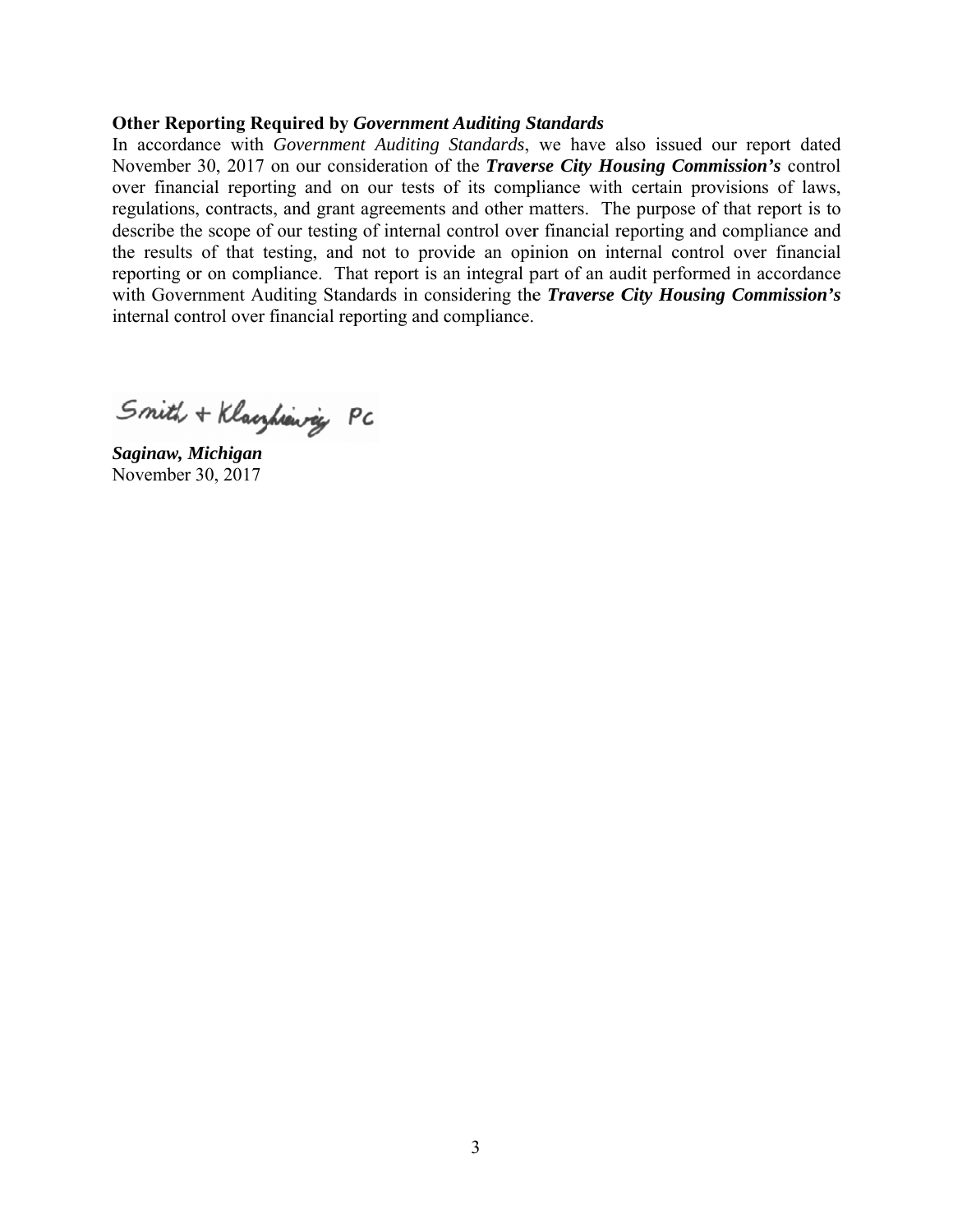#### **Other Reporting Required by** *Government Auditing Standards*

In accordance with Government Auditing Standards, we have also issued our report dated November 30, 2017 on our consideration of the *Traverse City Housing Commission's* control over financial reporting and on our tests of its compliance with certain provisions of laws, regulations, contracts, and grant agreements and other matters. The purpose of that report is to describe the scope of our testing of internal control over financial reporting and compliance and the results of that testing, and not to provide an opinion on internal control over financial reporting or on compliance. That report is an integral part of an audit performed in accordance with Government Auditing Standards in considering the *Traverse City Housing Commission's* internal control over financial reporting and compliance.

Smith + Klacyhiannig PC

*Saginaw, Michigan* November 30, 2017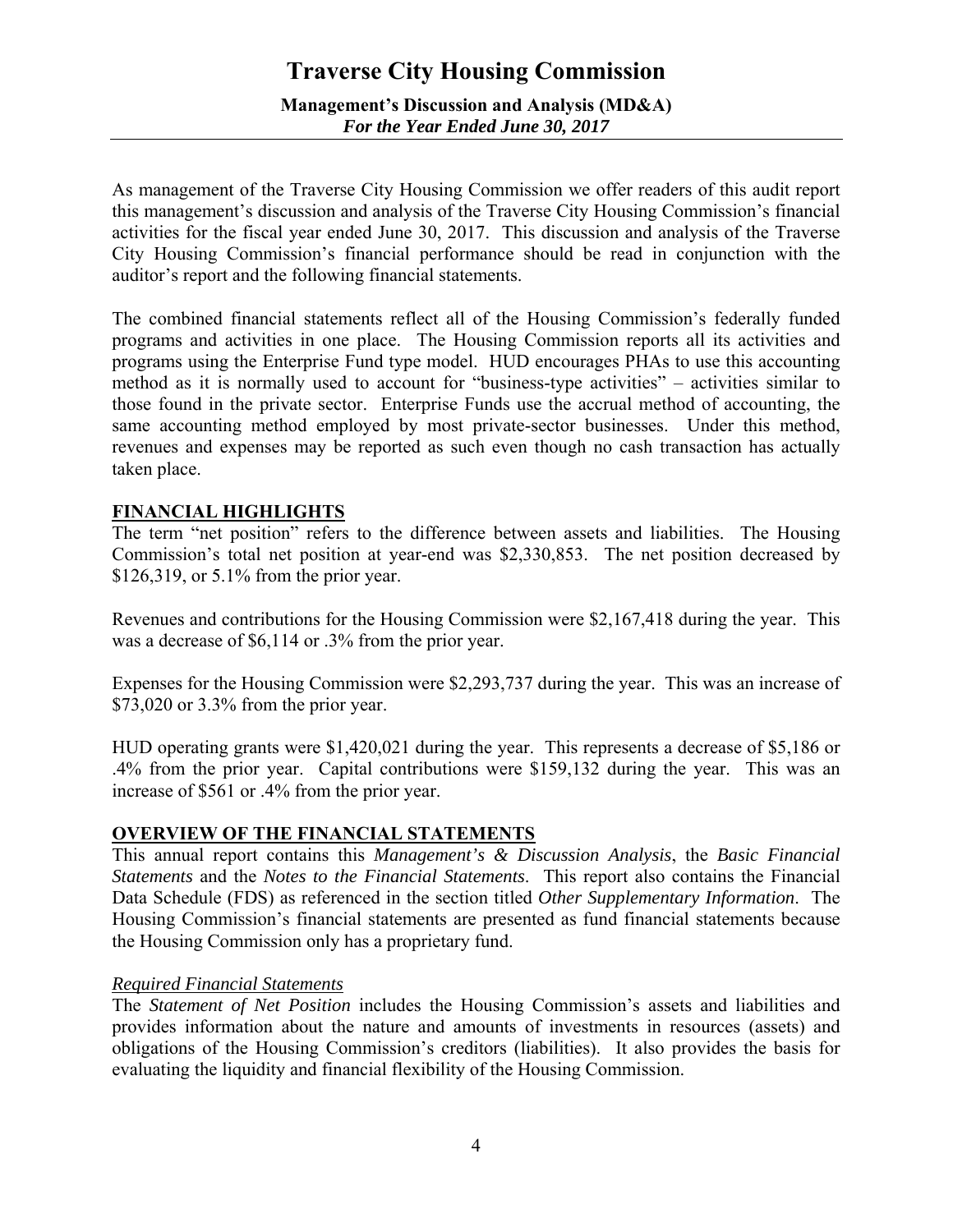### **Traverse City Housing Commission Management's Discussion and Analysis (MD&A)**  *For the Year Ended June 30, 2017*

As management of the Traverse City Housing Commission we offer readers of this audit report this management's discussion and analysis of the Traverse City Housing Commission's financial activities for the fiscal year ended June 30, 2017. This discussion and analysis of the Traverse City Housing Commission's financial performance should be read in conjunction with the auditor's report and the following financial statements.

The combined financial statements reflect all of the Housing Commission's federally funded programs and activities in one place. The Housing Commission reports all its activities and programs using the Enterprise Fund type model. HUD encourages PHAs to use this accounting method as it is normally used to account for "business-type activities" – activities similar to those found in the private sector. Enterprise Funds use the accrual method of accounting, the same accounting method employed by most private-sector businesses. Under this method, revenues and expenses may be reported as such even though no cash transaction has actually taken place.

### **FINANCIAL HIGHLIGHTS**

The term "net position" refers to the difference between assets and liabilities. The Housing Commission's total net position at year-end was \$2,330,853. The net position decreased by \$126,319, or 5.1% from the prior year.

Revenues and contributions for the Housing Commission were \$2,167,418 during the year. This was a decrease of \$6,114 or .3% from the prior year.

Expenses for the Housing Commission were \$2,293,737 during the year. This was an increase of \$73,020 or 3.3% from the prior year.

HUD operating grants were \$1,420,021 during the year. This represents a decrease of \$5,186 or .4% from the prior year. Capital contributions were \$159,132 during the year. This was an increase of \$561 or .4% from the prior year.

### **OVERVIEW OF THE FINANCIAL STATEMENTS**

This annual report contains this *Management's & Discussion Analysis*, the *Basic Financial Statements* and the *Notes to the Financial Statements*. This report also contains the Financial Data Schedule (FDS) as referenced in the section titled *Other Supplementary Information*. The Housing Commission's financial statements are presented as fund financial statements because the Housing Commission only has a proprietary fund.

### *Required Financial Statements*

The *Statement of Net Position* includes the Housing Commission's assets and liabilities and provides information about the nature and amounts of investments in resources (assets) and obligations of the Housing Commission's creditors (liabilities). It also provides the basis for evaluating the liquidity and financial flexibility of the Housing Commission.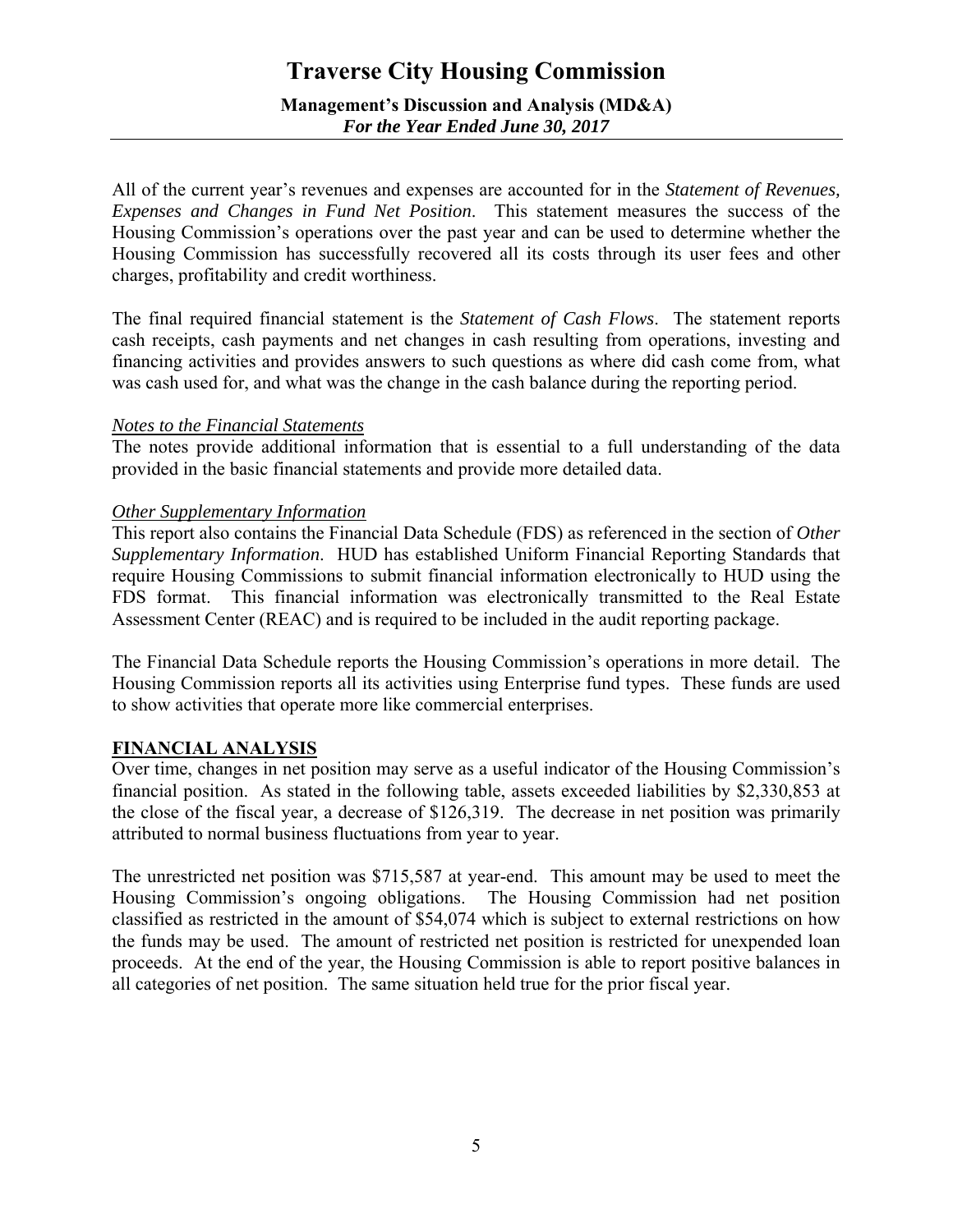### **Traverse City Housing Commission Management's Discussion and Analysis (MD&A)**  *For the Year Ended June 30, 2017*

All of the current year's revenues and expenses are accounted for in the *Statement of Revenues, Expenses and Changes in Fund Net Position*. This statement measures the success of the Housing Commission's operations over the past year and can be used to determine whether the Housing Commission has successfully recovered all its costs through its user fees and other charges, profitability and credit worthiness.

The final required financial statement is the *Statement of Cash Flows*. The statement reports cash receipts, cash payments and net changes in cash resulting from operations, investing and financing activities and provides answers to such questions as where did cash come from, what was cash used for, and what was the change in the cash balance during the reporting period.

### *Notes to the Financial Statements*

The notes provide additional information that is essential to a full understanding of the data provided in the basic financial statements and provide more detailed data.

### *Other Supplementary Information*

This report also contains the Financial Data Schedule (FDS) as referenced in the section of *Other Supplementary Information*. HUD has established Uniform Financial Reporting Standards that require Housing Commissions to submit financial information electronically to HUD using the FDS format. This financial information was electronically transmitted to the Real Estate Assessment Center (REAC) and is required to be included in the audit reporting package.

The Financial Data Schedule reports the Housing Commission's operations in more detail. The Housing Commission reports all its activities using Enterprise fund types. These funds are used to show activities that operate more like commercial enterprises.

### **FINANCIAL ANALYSIS**

Over time, changes in net position may serve as a useful indicator of the Housing Commission's financial position. As stated in the following table, assets exceeded liabilities by \$2,330,853 at the close of the fiscal year, a decrease of \$126,319. The decrease in net position was primarily attributed to normal business fluctuations from year to year.

The unrestricted net position was \$715,587 at year-end. This amount may be used to meet the Housing Commission's ongoing obligations. The Housing Commission had net position classified as restricted in the amount of \$54,074 which is subject to external restrictions on how the funds may be used. The amount of restricted net position is restricted for unexpended loan proceeds. At the end of the year, the Housing Commission is able to report positive balances in all categories of net position. The same situation held true for the prior fiscal year.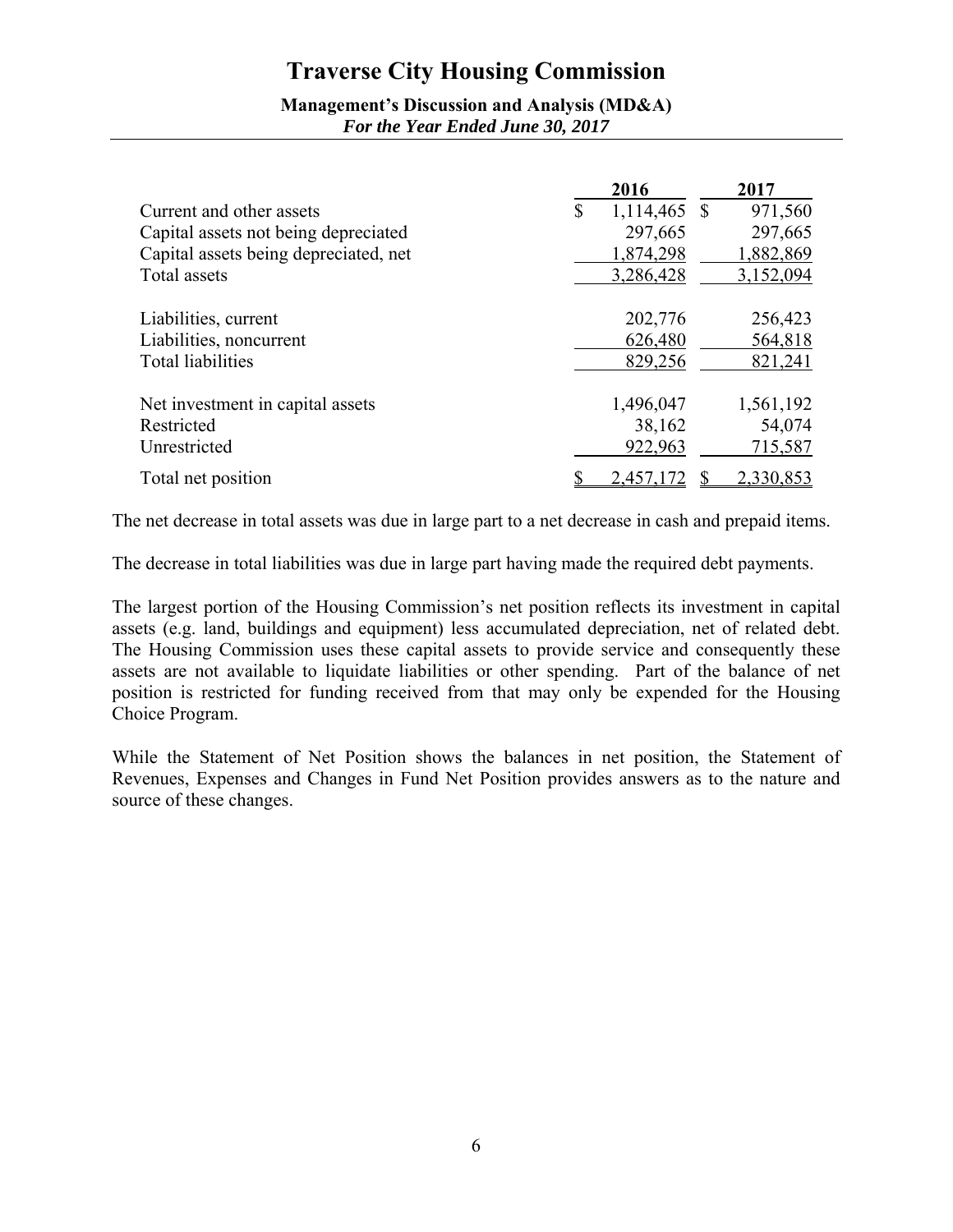### **Management's Discussion and Analysis (MD&A)**  *For the Year Ended June 30, 2017*

|                                       | 2016               | 2017      |
|---------------------------------------|--------------------|-----------|
| Current and other assets              | 1,114,465 \$<br>\$ | 971,560   |
| Capital assets not being depreciated  | 297,665            | 297,665   |
| Capital assets being depreciated, net | 1,874,298          | 1,882,869 |
| Total assets                          | 3,286,428          | 3,152,094 |
|                                       |                    |           |
| Liabilities, current                  | 202,776            | 256,423   |
| Liabilities, noncurrent               | 626,480            | 564,818   |
| <b>Total liabilities</b>              | 829,256            | 821,241   |
|                                       |                    |           |
| Net investment in capital assets      | 1,496,047          | 1,561,192 |
| Restricted                            | 38,162             | 54,074    |
| Unrestricted                          | 922,963            | 715,587   |
| Total net position                    | 2,457,172          | 2,330,853 |

The net decrease in total assets was due in large part to a net decrease in cash and prepaid items.

The decrease in total liabilities was due in large part having made the required debt payments.

The largest portion of the Housing Commission's net position reflects its investment in capital assets (e.g. land, buildings and equipment) less accumulated depreciation, net of related debt. The Housing Commission uses these capital assets to provide service and consequently these assets are not available to liquidate liabilities or other spending. Part of the balance of net position is restricted for funding received from that may only be expended for the Housing Choice Program.

While the Statement of Net Position shows the balances in net position, the Statement of Revenues, Expenses and Changes in Fund Net Position provides answers as to the nature and source of these changes.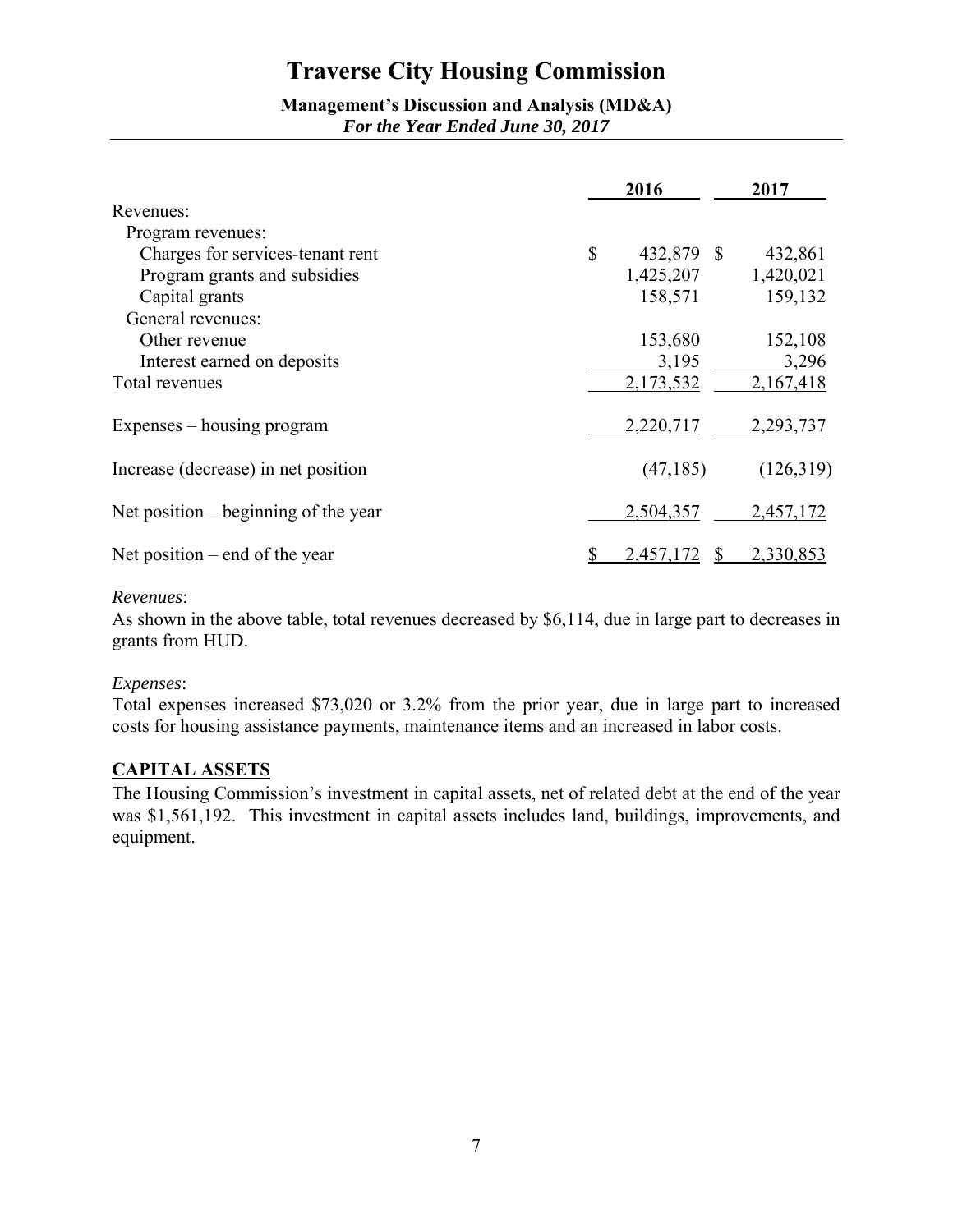### **Management's Discussion and Analysis (MD&A)**  *For the Year Ended June 30, 2017*

|                                        | 2016             | 2017      |
|----------------------------------------|------------------|-----------|
| Revenues:                              |                  |           |
| Program revenues:                      |                  |           |
| Charges for services-tenant rent       | \$<br>432,879 \$ | 432,861   |
| Program grants and subsidies           | 1,425,207        | 1,420,021 |
| Capital grants                         | 158,571          | 159,132   |
| General revenues:                      |                  |           |
| Other revenue                          | 153,680          | 152,108   |
| Interest earned on deposits            | 3,195            | 3,296     |
| Total revenues                         | 2,173,532        | 2,167,418 |
| Expenses – housing program             | 2,220,717        | 2,293,737 |
| Increase (decrease) in net position    | (47, 185)        | (126,319) |
| Net position $-$ beginning of the year | 2,504,357        | 2,457,172 |
| Net position $-$ end of the year       | 2,457,172        | 2,330,853 |

### *Revenues*:

As shown in the above table, total revenues decreased by \$6,114, due in large part to decreases in grants from HUD.

### *Expenses*:

Total expenses increased \$73,020 or 3.2% from the prior year, due in large part to increased costs for housing assistance payments, maintenance items and an increased in labor costs.

### **CAPITAL ASSETS**

The Housing Commission's investment in capital assets, net of related debt at the end of the year was \$1,561,192. This investment in capital assets includes land, buildings, improvements, and equipment.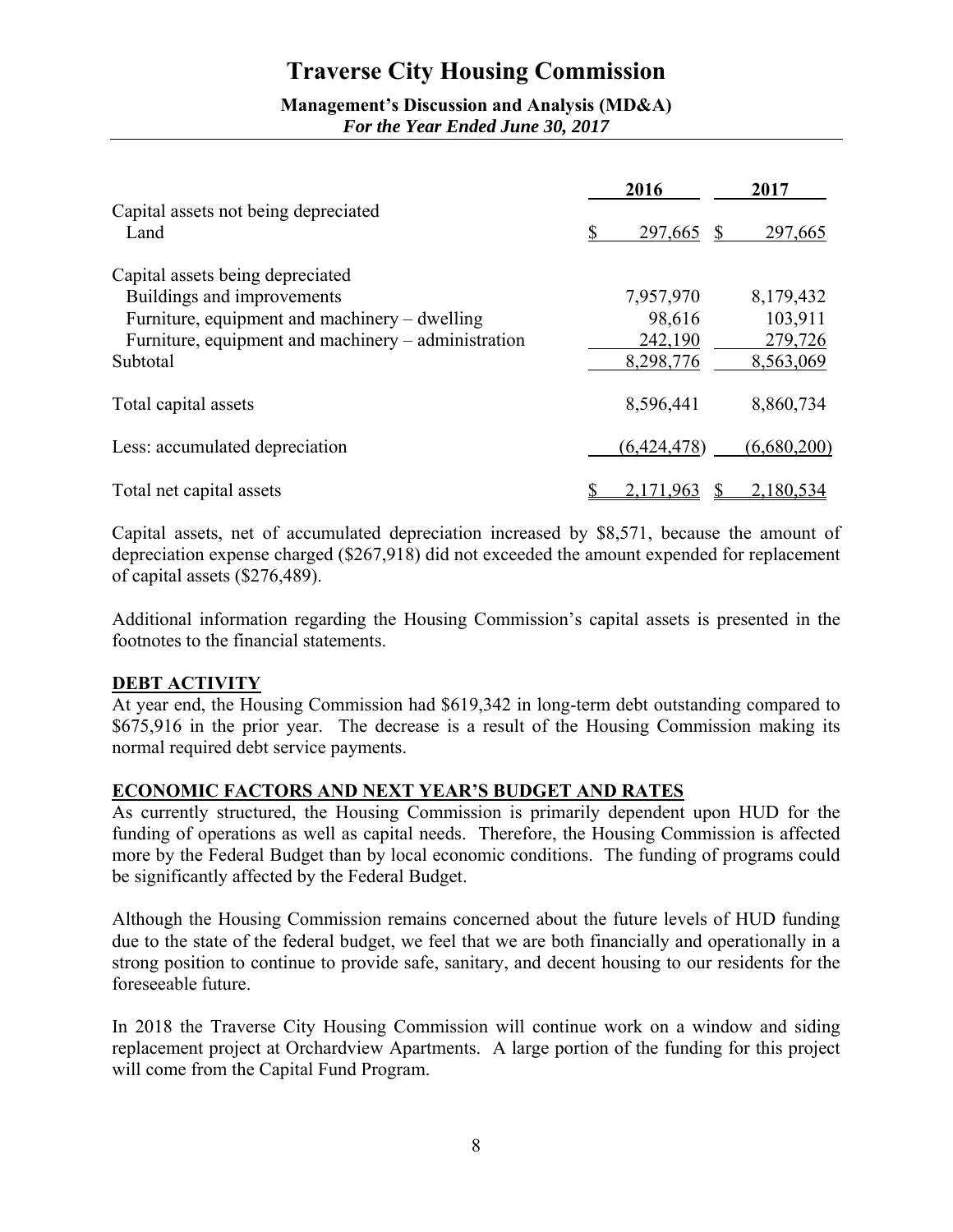### **Management's Discussion and Analysis (MD&A)**  *For the Year Ended June 30, 2017*

| Capital assets not being depreciated<br>Land        |  | 2016             | 2017        |  |
|-----------------------------------------------------|--|------------------|-------------|--|
|                                                     |  | 297,665          | 297,665     |  |
| Capital assets being depreciated                    |  |                  |             |  |
| Buildings and improvements                          |  | 7,957,970        | 8,179,432   |  |
| Furniture, equipment and machinery – dwelling       |  | 98,616           | 103,911     |  |
| Furniture, equipment and machinery – administration |  | 242,190          | 279,726     |  |
| Subtotal                                            |  | 8,298,776        | 8,563,069   |  |
| Total capital assets                                |  | 8,596,441        | 8,860,734   |  |
| Less: accumulated depreciation                      |  | (6,424,478)      | (6,680,200) |  |
| Total net capital assets                            |  | <u>2,171,963</u> | 2,180,534   |  |

Capital assets, net of accumulated depreciation increased by \$8,571, because the amount of depreciation expense charged (\$267,918) did not exceeded the amount expended for replacement of capital assets (\$276,489).

Additional information regarding the Housing Commission's capital assets is presented in the footnotes to the financial statements.

### **DEBT ACTIVITY**

At year end, the Housing Commission had \$619,342 in long-term debt outstanding compared to \$675,916 in the prior year. The decrease is a result of the Housing Commission making its normal required debt service payments.

### **ECONOMIC FACTORS AND NEXT YEAR'S BUDGET AND RATES**

As currently structured, the Housing Commission is primarily dependent upon HUD for the funding of operations as well as capital needs. Therefore, the Housing Commission is affected more by the Federal Budget than by local economic conditions. The funding of programs could be significantly affected by the Federal Budget.

Although the Housing Commission remains concerned about the future levels of HUD funding due to the state of the federal budget, we feel that we are both financially and operationally in a strong position to continue to provide safe, sanitary, and decent housing to our residents for the foreseeable future.

In 2018 the Traverse City Housing Commission will continue work on a window and siding replacement project at Orchardview Apartments. A large portion of the funding for this project will come from the Capital Fund Program.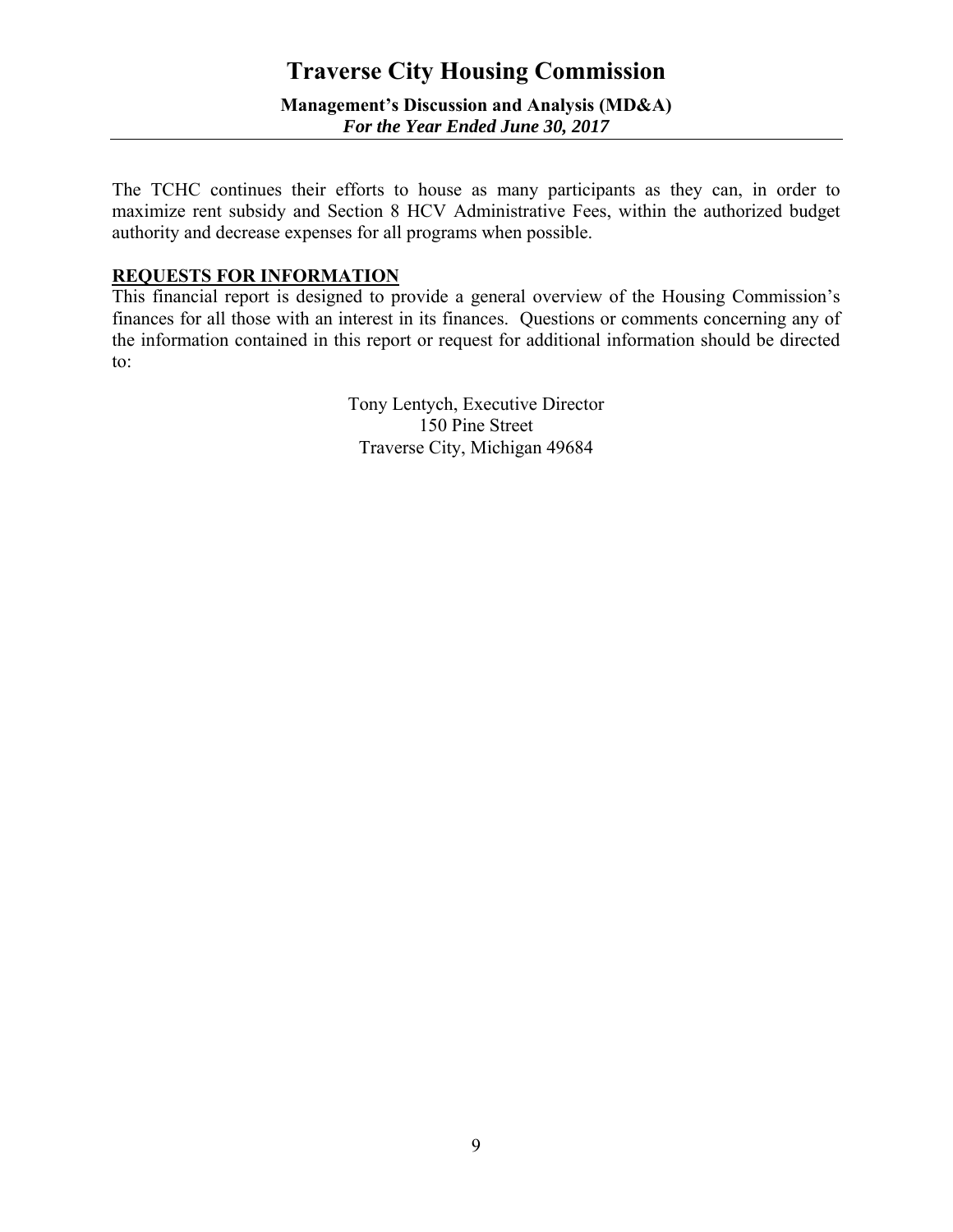### **Traverse City Housing Commission Management's Discussion and Analysis (MD&A)**  *For the Year Ended June 30, 2017*

The TCHC continues their efforts to house as many participants as they can, in order to maximize rent subsidy and Section 8 HCV Administrative Fees, within the authorized budget authority and decrease expenses for all programs when possible.

### **REQUESTS FOR INFORMATION**

This financial report is designed to provide a general overview of the Housing Commission's finances for all those with an interest in its finances. Questions or comments concerning any of the information contained in this report or request for additional information should be directed to:

> Tony Lentych, Executive Director 150 Pine Street Traverse City, Michigan 49684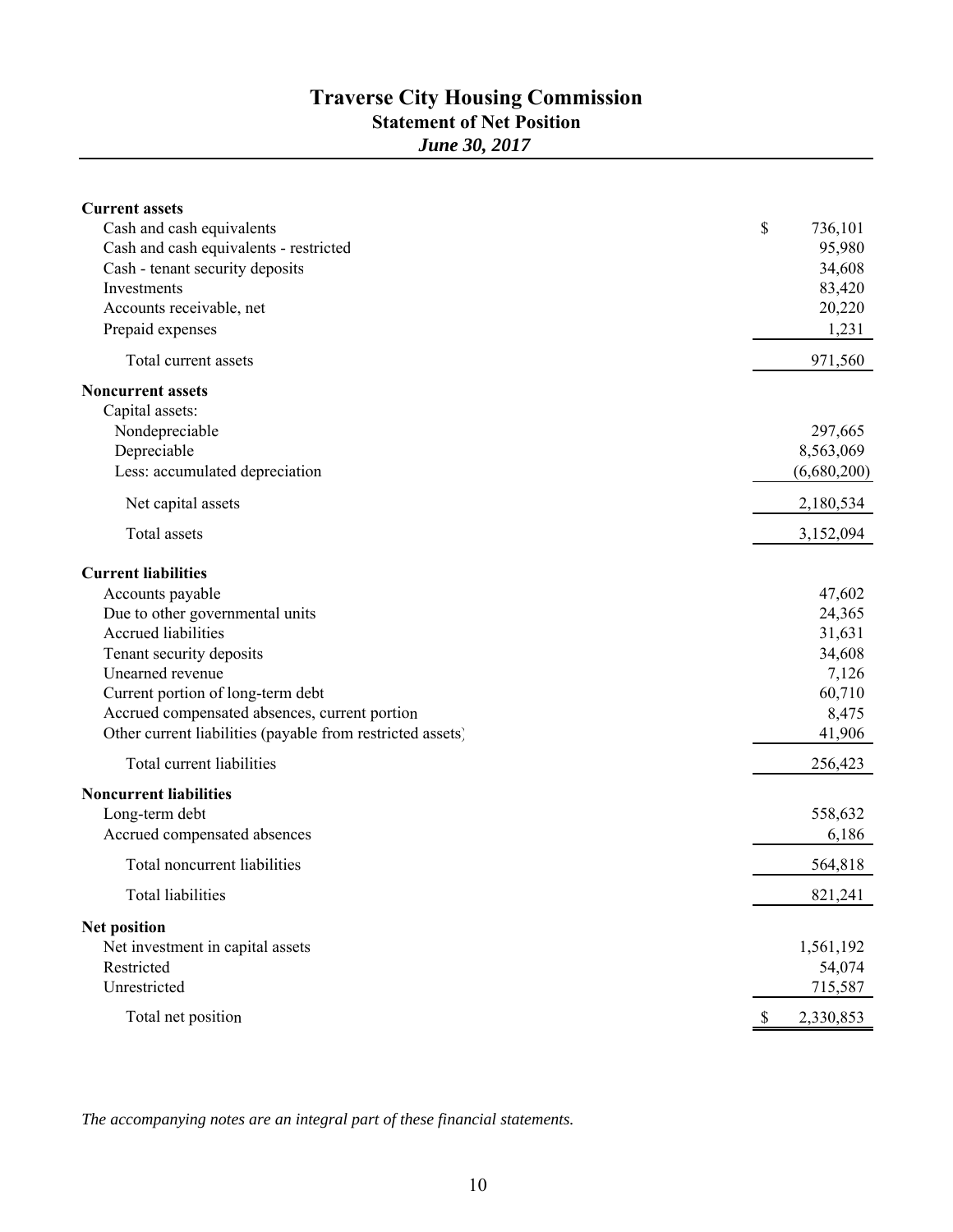### **Traverse City Housing Commission Statement of Net Position** *June 30, 2017*

| <b>Current assets</b>                                      |               |
|------------------------------------------------------------|---------------|
| Cash and cash equivalents                                  | \$<br>736,101 |
| Cash and cash equivalents - restricted                     | 95,980        |
| Cash - tenant security deposits                            | 34,608        |
| Investments                                                | 83,420        |
| Accounts receivable, net                                   | 20,220        |
| Prepaid expenses                                           | 1,231         |
| Total current assets                                       | 971,560       |
| <b>Noncurrent assets</b>                                   |               |
| Capital assets:                                            |               |
| Nondepreciable                                             | 297,665       |
| Depreciable                                                | 8,563,069     |
| Less: accumulated depreciation                             | (6,680,200)   |
| Net capital assets                                         | 2,180,534     |
| <b>Total</b> assets                                        | 3,152,094     |
| <b>Current liabilities</b>                                 |               |
| Accounts payable                                           | 47,602        |
| Due to other governmental units                            | 24,365        |
| <b>Accrued liabilities</b>                                 | 31,631        |
| Tenant security deposits                                   | 34,608        |
| Unearned revenue                                           | 7,126         |
| Current portion of long-term debt                          | 60,710        |
| Accrued compensated absences, current portion              | 8,475         |
| Other current liabilities (payable from restricted assets) | 41,906        |
| Total current liabilities                                  | 256,423       |
| <b>Noncurrent liabilities</b>                              |               |
| Long-term debt                                             | 558,632       |
| Accrued compensated absences                               | 6,186         |
| Total noncurrent liabilities                               | 564,818       |
| <b>Total liabilities</b>                                   | 821,241       |
| <b>Net position</b>                                        |               |
| Net investment in capital assets                           | 1,561,192     |
| Restricted                                                 | 54,074        |
| Unrestricted                                               | 715,587       |
| Total net position                                         | 2,330,853     |

*The accompanying notes are an integral part of these financial statements.*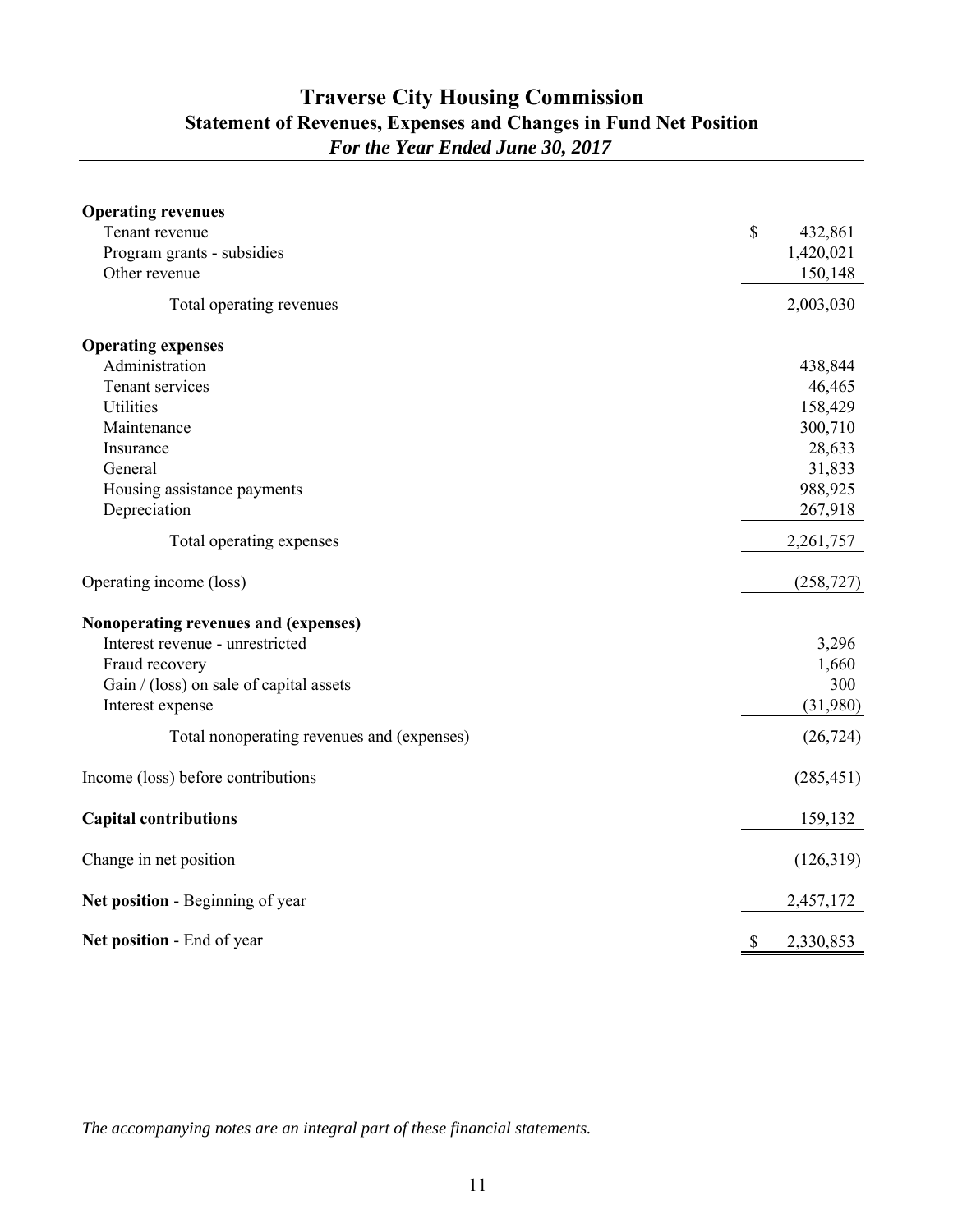### **Traverse City Housing Commission Statement of Revenues, Expenses and Changes in Fund Net Position** *For the Year Ended June 30, 2017*

| <b>Operating revenues</b>                  |                 |
|--------------------------------------------|-----------------|
| Tenant revenue                             | $\$$<br>432,861 |
| Program grants - subsidies                 | 1,420,021       |
| Other revenue                              | 150,148         |
| Total operating revenues                   | 2,003,030       |
| <b>Operating expenses</b>                  |                 |
| Administration                             | 438,844         |
| Tenant services                            | 46,465          |
| Utilities                                  | 158,429         |
| Maintenance                                | 300,710         |
| Insurance                                  | 28,633          |
| General                                    | 31,833          |
| Housing assistance payments                | 988,925         |
| Depreciation                               | 267,918         |
| Total operating expenses                   | 2,261,757       |
| Operating income (loss)                    | (258, 727)      |
| Nonoperating revenues and (expenses)       |                 |
| Interest revenue - unrestricted            | 3,296           |
| Fraud recovery                             | 1,660           |
| Gain / (loss) on sale of capital assets    | 300             |
| Interest expense                           | (31,980)        |
| Total nonoperating revenues and (expenses) | (26, 724)       |
| Income (loss) before contributions         | (285, 451)      |
| <b>Capital contributions</b>               | 159,132         |
| Change in net position                     | (126,319)       |
| Net position - Beginning of year           | 2,457,172       |
| Net position - End of year                 | \$<br>2,330,853 |

*The accompanying notes are an integral part of these financial statements.*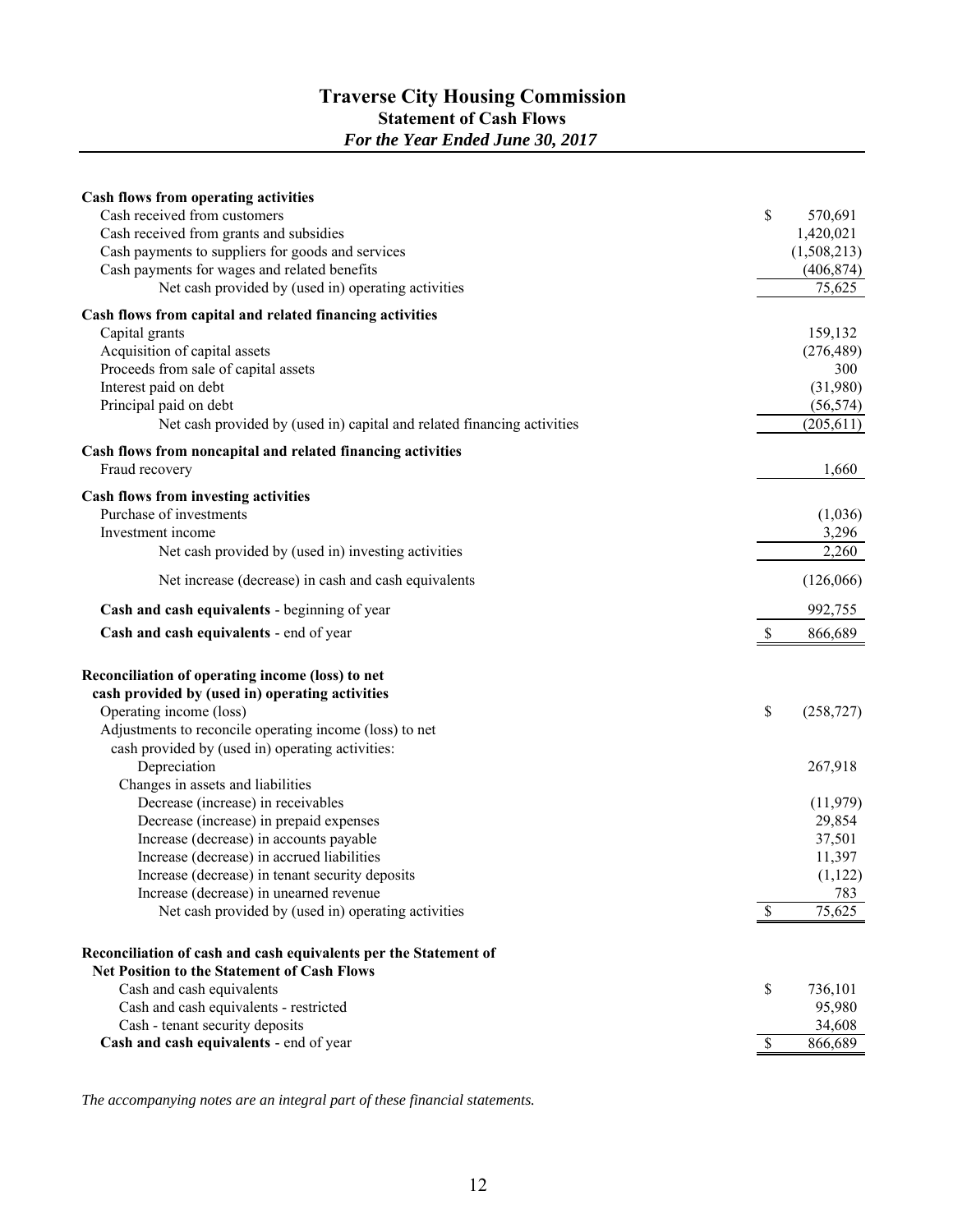### **Traverse City Housing Commission Statement of Cash Flows** *For the Year Ended June 30, 2017*

| <b>Cash flows from operating activities</b>                             |              |             |
|-------------------------------------------------------------------------|--------------|-------------|
| Cash received from customers                                            | \$           | 570,691     |
| Cash received from grants and subsidies                                 |              | 1,420,021   |
| Cash payments to suppliers for goods and services                       |              | (1,508,213) |
| Cash payments for wages and related benefits                            |              | (406, 874)  |
| Net cash provided by (used in) operating activities                     |              | 75,625      |
| Cash flows from capital and related financing activities                |              |             |
| Capital grants                                                          |              | 159,132     |
| Acquisition of capital assets                                           |              | (276, 489)  |
| Proceeds from sale of capital assets                                    |              | 300         |
| Interest paid on debt                                                   |              | (31,980)    |
| Principal paid on debt                                                  |              | (56, 574)   |
| Net cash provided by (used in) capital and related financing activities |              | (205, 611)  |
| Cash flows from noncapital and related financing activities             |              |             |
| Fraud recovery                                                          |              | 1,660       |
| Cash flows from investing activities                                    |              |             |
| Purchase of investments                                                 |              | (1,036)     |
| Investment income                                                       |              | 3,296       |
| Net cash provided by (used in) investing activities                     |              | 2,260       |
| Net increase (decrease) in cash and cash equivalents                    |              | (126,066)   |
| Cash and cash equivalents - beginning of year                           |              | 992,755     |
| Cash and cash equivalents - end of year                                 | $\mathbb{S}$ | 866,689     |
| Reconciliation of operating income (loss) to net                        |              |             |
| cash provided by (used in) operating activities                         |              |             |
| Operating income (loss)                                                 | \$           | (258, 727)  |
| Adjustments to reconcile operating income (loss) to net                 |              |             |
| cash provided by (used in) operating activities:                        |              |             |
| Depreciation                                                            |              | 267,918     |
| Changes in assets and liabilities                                       |              |             |
| Decrease (increase) in receivables                                      |              | (11,979)    |
| Decrease (increase) in prepaid expenses                                 |              | 29,854      |
| Increase (decrease) in accounts payable                                 |              | 37,501      |
| Increase (decrease) in accrued liabilities                              |              | 11,397      |
| Increase (decrease) in tenant security deposits                         |              | (1, 122)    |
| Increase (decrease) in unearned revenue                                 |              | 783         |
| Net cash provided by (used in) operating activities                     |              | 75,625      |
| Reconciliation of cash and cash equivalents per the Statement of        |              |             |
| <b>Net Position to the Statement of Cash Flows</b>                      |              |             |
| Cash and cash equivalents                                               | \$           | 736,101     |
| Cash and cash equivalents - restricted                                  |              | 95,980      |
| Cash - tenant security deposits                                         |              | 34,608      |
| Cash and cash equivalents - end of year                                 | \$           | 866,689     |

*The accompanying notes are an integral part of these financial statements.*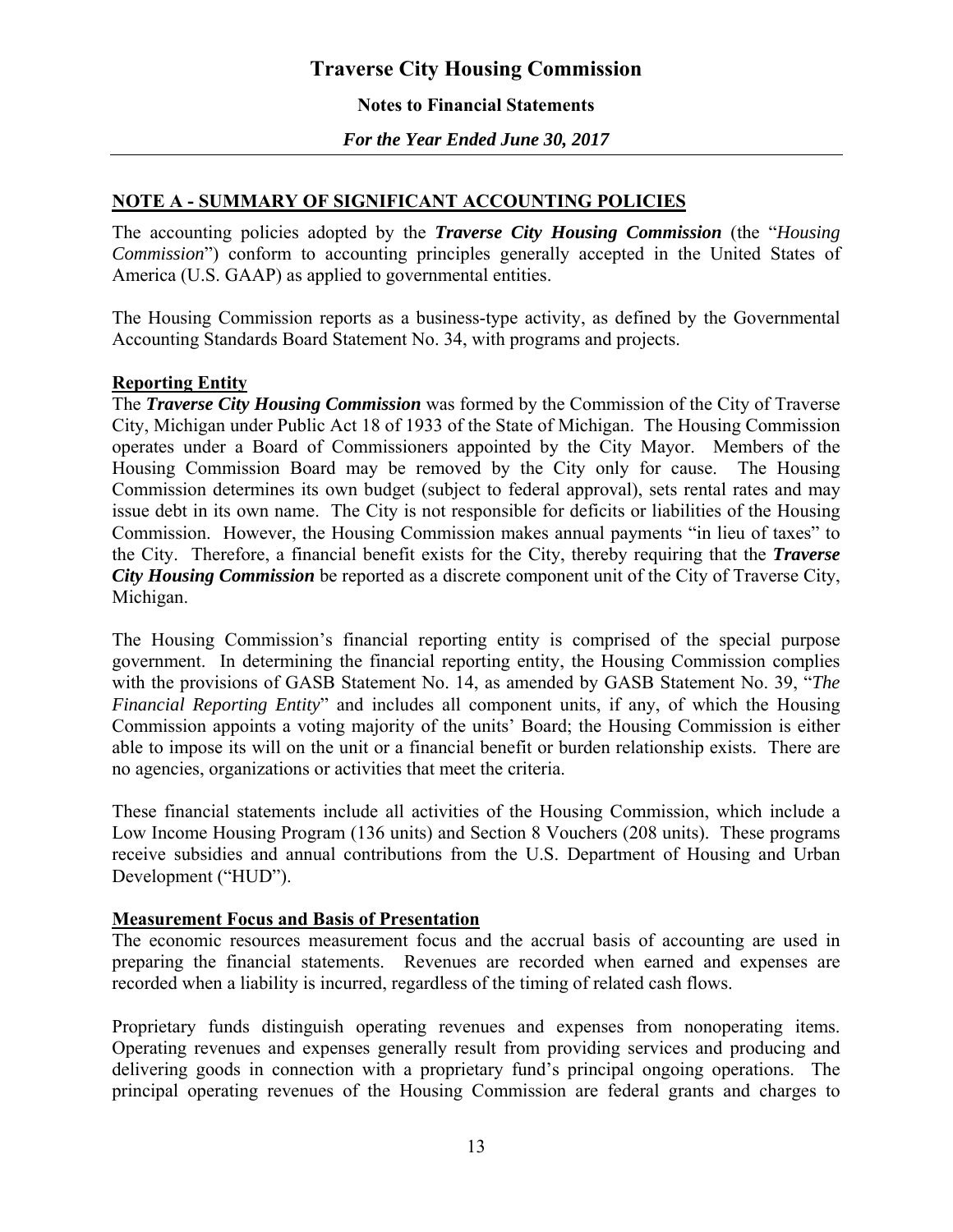### **Notes to Financial Statements**

*For the Year Ended June 30, 2017* 

### **NOTE A - SUMMARY OF SIGNIFICANT ACCOUNTING POLICIES**

The accounting policies adopted by the *Traverse City Housing Commission* (the "*Housing Commission*") conform to accounting principles generally accepted in the United States of America (U.S. GAAP) as applied to governmental entities.

The Housing Commission reports as a business-type activity, as defined by the Governmental Accounting Standards Board Statement No. 34, with programs and projects.

### **Reporting Entity**

The *Traverse City Housing Commission* was formed by the Commission of the City of Traverse City, Michigan under Public Act 18 of 1933 of the State of Michigan. The Housing Commission operates under a Board of Commissioners appointed by the City Mayor. Members of the Housing Commission Board may be removed by the City only for cause. The Housing Commission determines its own budget (subject to federal approval), sets rental rates and may issue debt in its own name. The City is not responsible for deficits or liabilities of the Housing Commission. However, the Housing Commission makes annual payments "in lieu of taxes" to the City. Therefore, a financial benefit exists for the City, thereby requiring that the *Traverse City Housing Commission* be reported as a discrete component unit of the City of Traverse City, Michigan.

The Housing Commission's financial reporting entity is comprised of the special purpose government. In determining the financial reporting entity, the Housing Commission complies with the provisions of GASB Statement No. 14, as amended by GASB Statement No. 39, "*The Financial Reporting Entity*" and includes all component units, if any, of which the Housing Commission appoints a voting majority of the units' Board; the Housing Commission is either able to impose its will on the unit or a financial benefit or burden relationship exists. There are no agencies, organizations or activities that meet the criteria.

These financial statements include all activities of the Housing Commission, which include a Low Income Housing Program (136 units) and Section 8 Vouchers (208 units). These programs receive subsidies and annual contributions from the U.S. Department of Housing and Urban Development ("HUD").

### **Measurement Focus and Basis of Presentation**

The economic resources measurement focus and the accrual basis of accounting are used in preparing the financial statements. Revenues are recorded when earned and expenses are recorded when a liability is incurred, regardless of the timing of related cash flows.

Proprietary funds distinguish operating revenues and expenses from nonoperating items. Operating revenues and expenses generally result from providing services and producing and delivering goods in connection with a proprietary fund's principal ongoing operations. The principal operating revenues of the Housing Commission are federal grants and charges to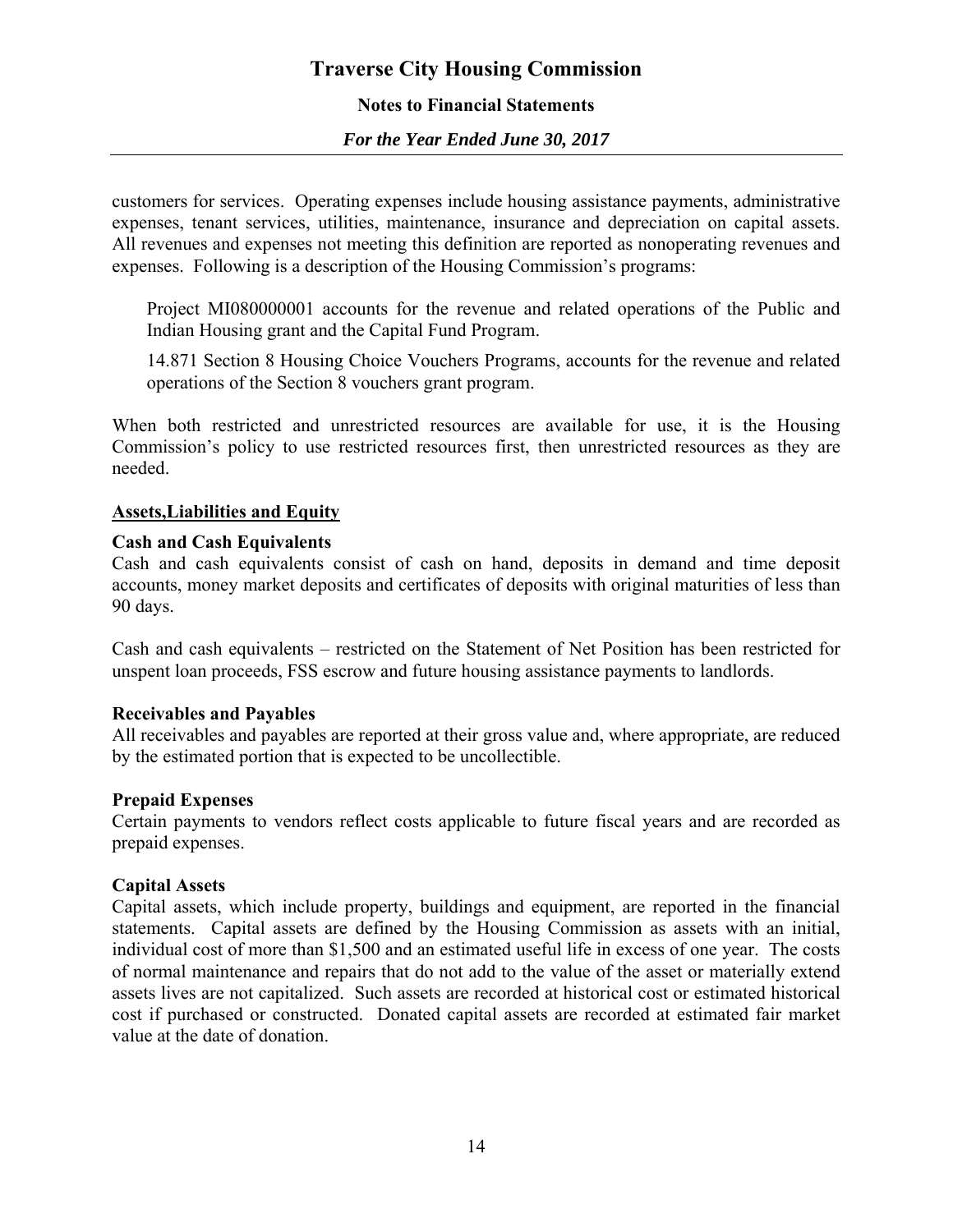### **Notes to Financial Statements**

### *For the Year Ended June 30, 2017*

customers for services. Operating expenses include housing assistance payments, administrative expenses, tenant services, utilities, maintenance, insurance and depreciation on capital assets. All revenues and expenses not meeting this definition are reported as nonoperating revenues and expenses. Following is a description of the Housing Commission's programs:

Project MI080000001 accounts for the revenue and related operations of the Public and Indian Housing grant and the Capital Fund Program.

14.871 Section 8 Housing Choice Vouchers Programs, accounts for the revenue and related operations of the Section 8 vouchers grant program.

When both restricted and unrestricted resources are available for use, it is the Housing Commission's policy to use restricted resources first, then unrestricted resources as they are needed.

### **Assets,Liabilities and Equity**

### **Cash and Cash Equivalents**

Cash and cash equivalents consist of cash on hand, deposits in demand and time deposit accounts, money market deposits and certificates of deposits with original maturities of less than 90 days.

Cash and cash equivalents – restricted on the Statement of Net Position has been restricted for unspent loan proceeds, FSS escrow and future housing assistance payments to landlords.

### **Receivables and Payables**

All receivables and payables are reported at their gross value and, where appropriate, are reduced by the estimated portion that is expected to be uncollectible.

### **Prepaid Expenses**

Certain payments to vendors reflect costs applicable to future fiscal years and are recorded as prepaid expenses.

### **Capital Assets**

Capital assets, which include property, buildings and equipment, are reported in the financial statements. Capital assets are defined by the Housing Commission as assets with an initial, individual cost of more than \$1,500 and an estimated useful life in excess of one year. The costs of normal maintenance and repairs that do not add to the value of the asset or materially extend assets lives are not capitalized. Such assets are recorded at historical cost or estimated historical cost if purchased or constructed. Donated capital assets are recorded at estimated fair market value at the date of donation.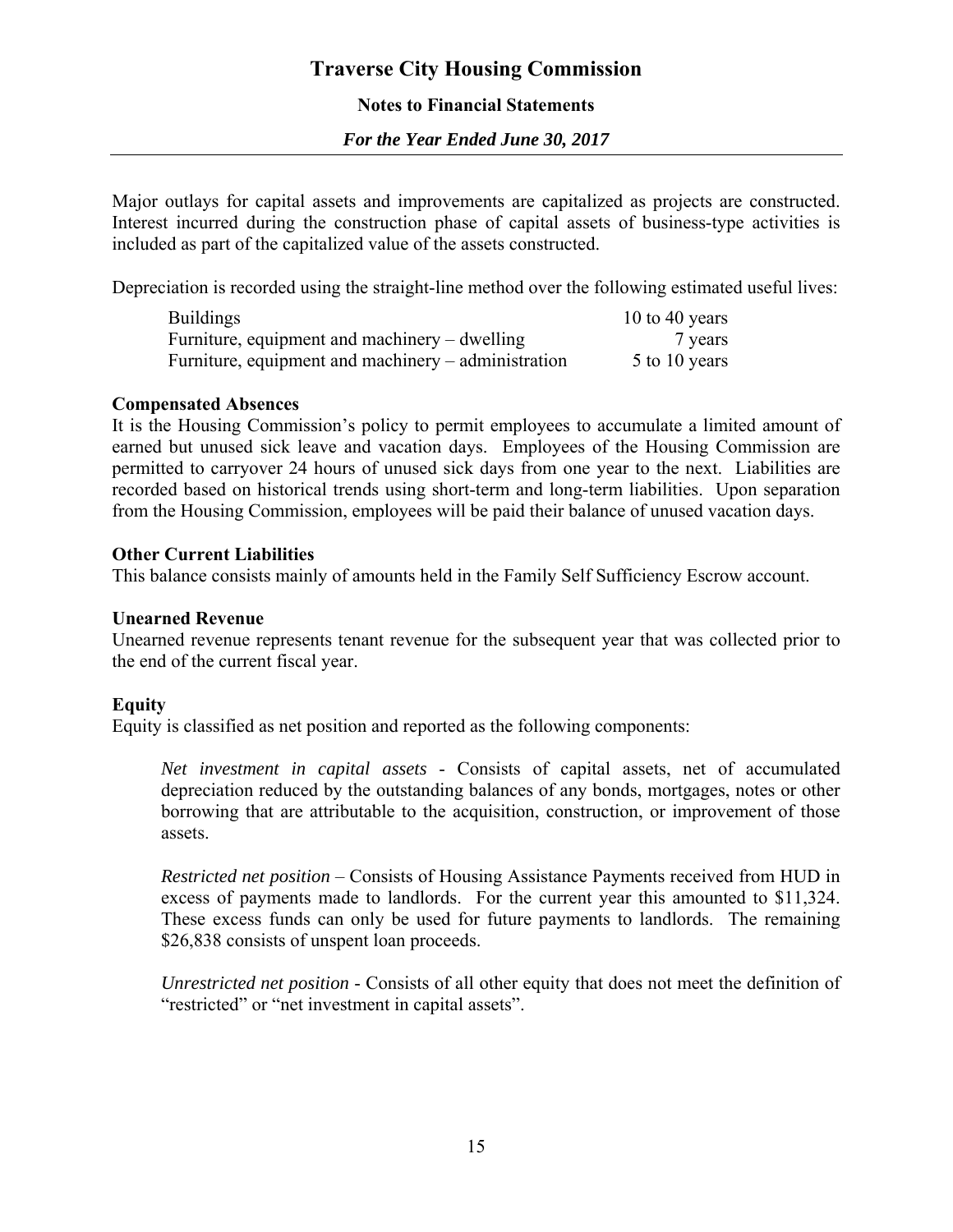**Notes to Financial Statements** 

*For the Year Ended June 30, 2017* 

Major outlays for capital assets and improvements are capitalized as projects are constructed. Interest incurred during the construction phase of capital assets of business-type activities is included as part of the capitalized value of the assets constructed.

Depreciation is recorded using the straight-line method over the following estimated useful lives:

| <b>Buildings</b>                                    | 10 to 40 years |
|-----------------------------------------------------|----------------|
| Furniture, equipment and machinery $-$ dwelling     | 7 years        |
| Furniture, equipment and machinery – administration | 5 to 10 years  |

### **Compensated Absences**

It is the Housing Commission's policy to permit employees to accumulate a limited amount of earned but unused sick leave and vacation days. Employees of the Housing Commission are permitted to carryover 24 hours of unused sick days from one year to the next. Liabilities are recorded based on historical trends using short-term and long-term liabilities. Upon separation from the Housing Commission, employees will be paid their balance of unused vacation days.

### **Other Current Liabilities**

This balance consists mainly of amounts held in the Family Self Sufficiency Escrow account.

### **Unearned Revenue**

Unearned revenue represents tenant revenue for the subsequent year that was collected prior to the end of the current fiscal year.

### **Equity**

Equity is classified as net position and reported as the following components:

*Net investment in capital assets* - Consists of capital assets, net of accumulated depreciation reduced by the outstanding balances of any bonds, mortgages, notes or other borrowing that are attributable to the acquisition, construction, or improvement of those assets.

*Restricted net position* – Consists of Housing Assistance Payments received from HUD in excess of payments made to landlords. For the current year this amounted to \$11,324. These excess funds can only be used for future payments to landlords. The remaining \$26,838 consists of unspent loan proceeds.

*Unrestricted net position* - Consists of all other equity that does not meet the definition of "restricted" or "net investment in capital assets".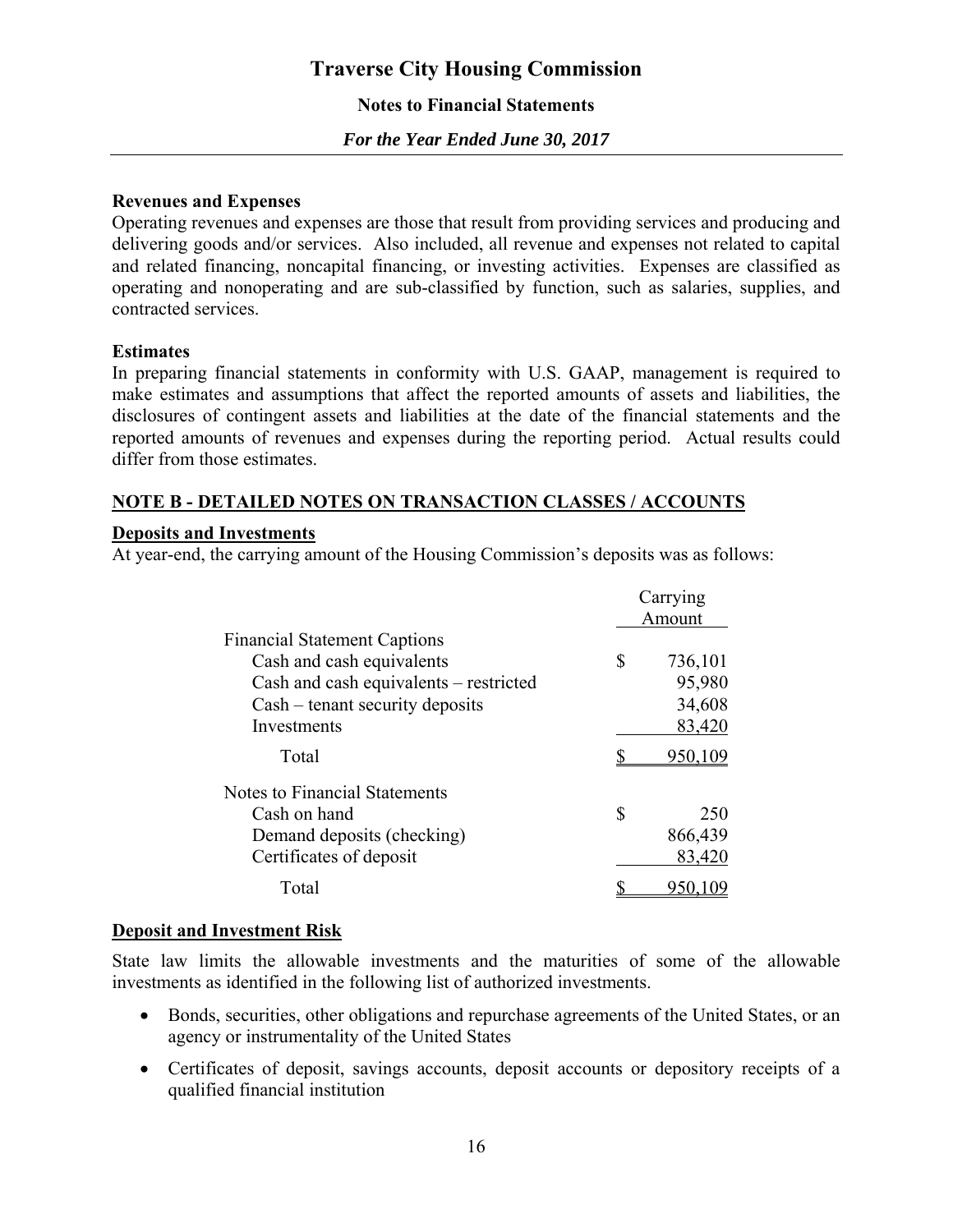### **Notes to Financial Statements**

### *For the Year Ended June 30, 2017*

### **Revenues and Expenses**

Operating revenues and expenses are those that result from providing services and producing and delivering goods and/or services. Also included, all revenue and expenses not related to capital and related financing, noncapital financing, or investing activities. Expenses are classified as operating and nonoperating and are sub-classified by function, such as salaries, supplies, and contracted services.

### **Estimates**

In preparing financial statements in conformity with U.S. GAAP, management is required to make estimates and assumptions that affect the reported amounts of assets and liabilities, the disclosures of contingent assets and liabilities at the date of the financial statements and the reported amounts of revenues and expenses during the reporting period. Actual results could differ from those estimates.

### **NOTE B - DETAILED NOTES ON TRANSACTION CLASSES / ACCOUNTS**

### **Deposits and Investments**

At year-end, the carrying amount of the Housing Commission's deposits was as follows:

|                                                                                                                                                              |    | Carrying<br>Amount                    |
|--------------------------------------------------------------------------------------------------------------------------------------------------------------|----|---------------------------------------|
| <b>Financial Statement Captions</b><br>Cash and cash equivalents<br>Cash and cash equivalents – restricted<br>Cash – tenant security deposits<br>Investments | \$ | 736,101<br>95,980<br>34,608<br>83,420 |
| Total                                                                                                                                                        |    | 950,109                               |
| Notes to Financial Statements<br>Cash on hand<br>Demand deposits (checking)<br>Certificates of deposit                                                       | \$ | 250<br>866,439<br>83,420              |
| Total                                                                                                                                                        |    | 950,109                               |

### **Deposit and Investment Risk**

State law limits the allowable investments and the maturities of some of the allowable investments as identified in the following list of authorized investments.

- Bonds, securities, other obligations and repurchase agreements of the United States, or an agency or instrumentality of the United States
- Certificates of deposit, savings accounts, deposit accounts or depository receipts of a qualified financial institution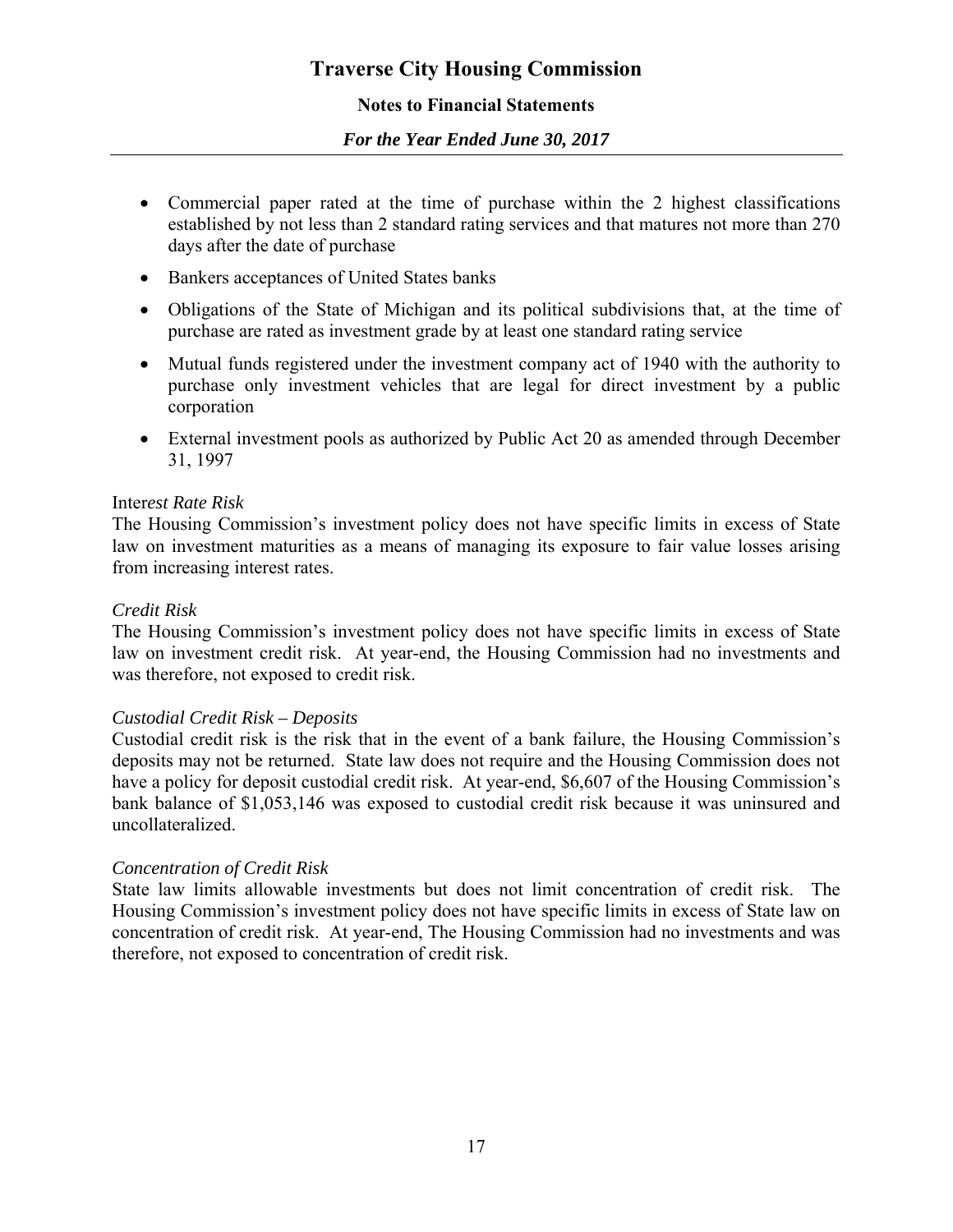### **Notes to Financial Statements**

### *For the Year Ended June 30, 2017*

- Commercial paper rated at the time of purchase within the 2 highest classifications established by not less than 2 standard rating services and that matures not more than 270 days after the date of purchase
- Bankers acceptances of United States banks
- Obligations of the State of Michigan and its political subdivisions that, at the time of purchase are rated as investment grade by at least one standard rating service
- Mutual funds registered under the investment company act of 1940 with the authority to purchase only investment vehicles that are legal for direct investment by a public corporation
- External investment pools as authorized by Public Act 20 as amended through December 31, 1997

### Inter*est Rate Risk*

The Housing Commission's investment policy does not have specific limits in excess of State law on investment maturities as a means of managing its exposure to fair value losses arising from increasing interest rates.

### *Credit Risk*

The Housing Commission's investment policy does not have specific limits in excess of State law on investment credit risk. At year-end, the Housing Commission had no investments and was therefore, not exposed to credit risk.

### *Custodial Credit Risk – Deposits*

Custodial credit risk is the risk that in the event of a bank failure, the Housing Commission's deposits may not be returned. State law does not require and the Housing Commission does not have a policy for deposit custodial credit risk. At year-end, \$6,607 of the Housing Commission's bank balance of \$1,053,146 was exposed to custodial credit risk because it was uninsured and uncollateralized.

### *Concentration of Credit Risk*

State law limits allowable investments but does not limit concentration of credit risk. The Housing Commission's investment policy does not have specific limits in excess of State law on concentration of credit risk. At year-end, The Housing Commission had no investments and was therefore, not exposed to concentration of credit risk.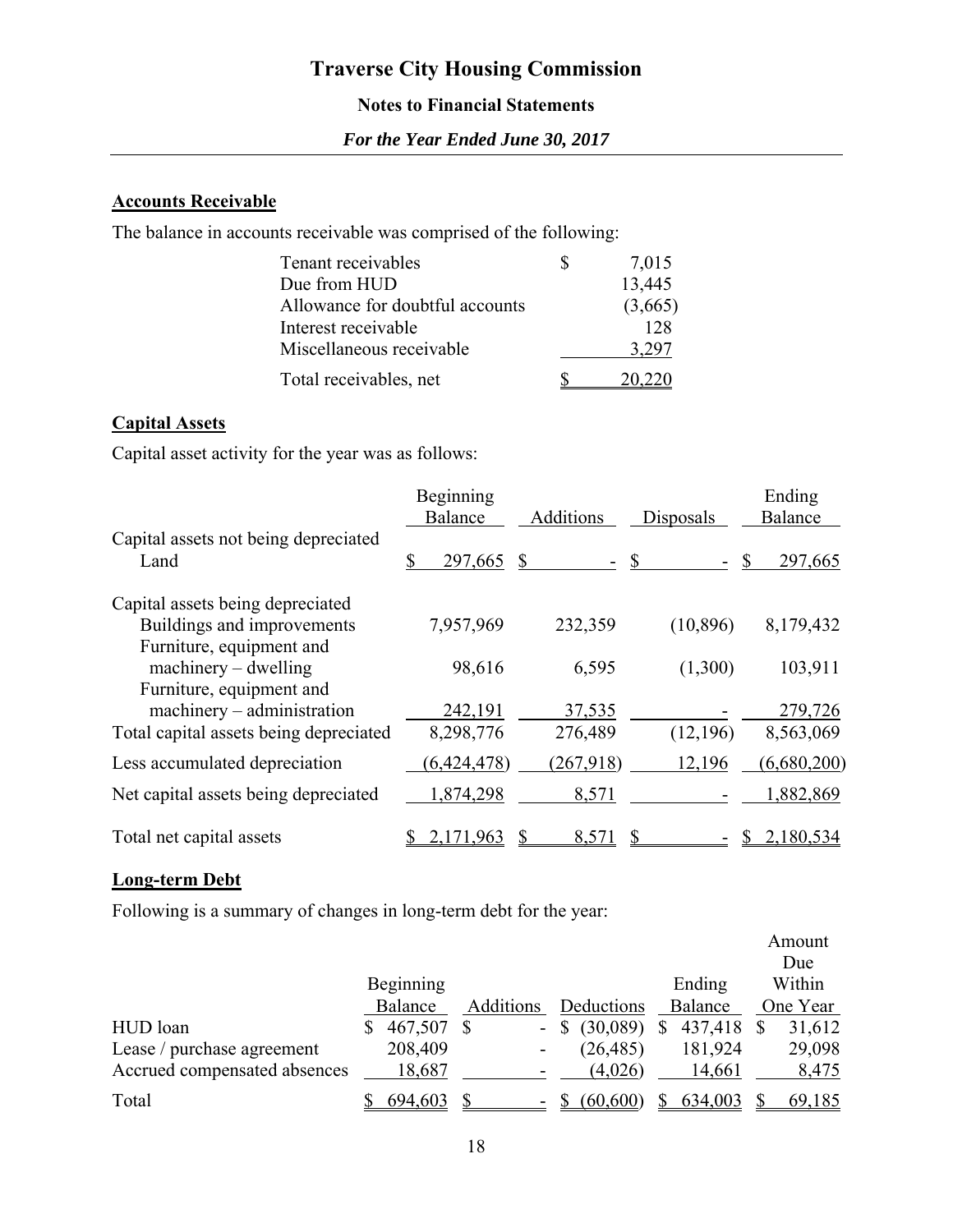### **Notes to Financial Statements**

*For the Year Ended June 30, 2017* 

### **Accounts Receivable**

The balance in accounts receivable was comprised of the following:

| Tenant receivables              | 7,015   |
|---------------------------------|---------|
| Due from HUD                    | 13,445  |
| Allowance for doubtful accounts | (3,665) |
| Interest receivable             | 128     |
| Miscellaneous receivable        | 3.297   |
| Total receivables, net          |         |

### **Capital Assets**

Capital asset activity for the year was as follows:

|                                        | Beginning<br>Balance | Additions     | Disposals | Ending<br>Balance |
|----------------------------------------|----------------------|---------------|-----------|-------------------|
| Capital assets not being depreciated   |                      |               |           |                   |
| Land                                   | \$<br>297,665        | <sup>\$</sup> | $-$ \$    | \$<br>297,665     |
| Capital assets being depreciated       |                      |               |           |                   |
| Buildings and improvements             | 7,957,969            | 232,359       | (10, 896) | 8,179,432         |
| Furniture, equipment and               |                      |               |           |                   |
| machinery – dwelling                   | 98,616               | 6,595         | (1,300)   | 103,911           |
| Furniture, equipment and               |                      |               |           |                   |
| $machinery - administration$           | 242,191              | 37,535        |           | 279,726           |
| Total capital assets being depreciated | 8,298,776            | 276,489       | (12,196)  | 8,563,069         |
| Less accumulated depreciation          | (6,424,478)          | (267,918)     | 12,196    | (6,680,200)       |
| Net capital assets being depreciated   | 1,874,298            | 8,571         |           | 1,882,869         |
| Total net capital assets               | 2,171,963            | 8,571<br>S    |           | 2,180,534         |

### **Long-term Debt**

Following is a summary of changes in long-term debt for the year:

|                              |            |           |                      |               | Amount   |
|------------------------------|------------|-----------|----------------------|---------------|----------|
|                              |            |           |                      |               | Due      |
|                              | Beginning  |           |                      | Ending        | Within   |
|                              | Balance    | Additions | Deductions           | Balance       | One Year |
| HUD loan                     | 467,507 \$ |           | (30,089)<br><b>S</b> | 437,418<br>\$ | 31,612   |
| Lease / purchase agreement   | 208,409    |           | (26, 485)            | 181,924       | 29,098   |
| Accrued compensated absences | 18,687     |           | (4,026)              | 14,661        | 8,475    |
| Total                        | 694,603    |           | (60, 600)            | 634,003       | 69,185   |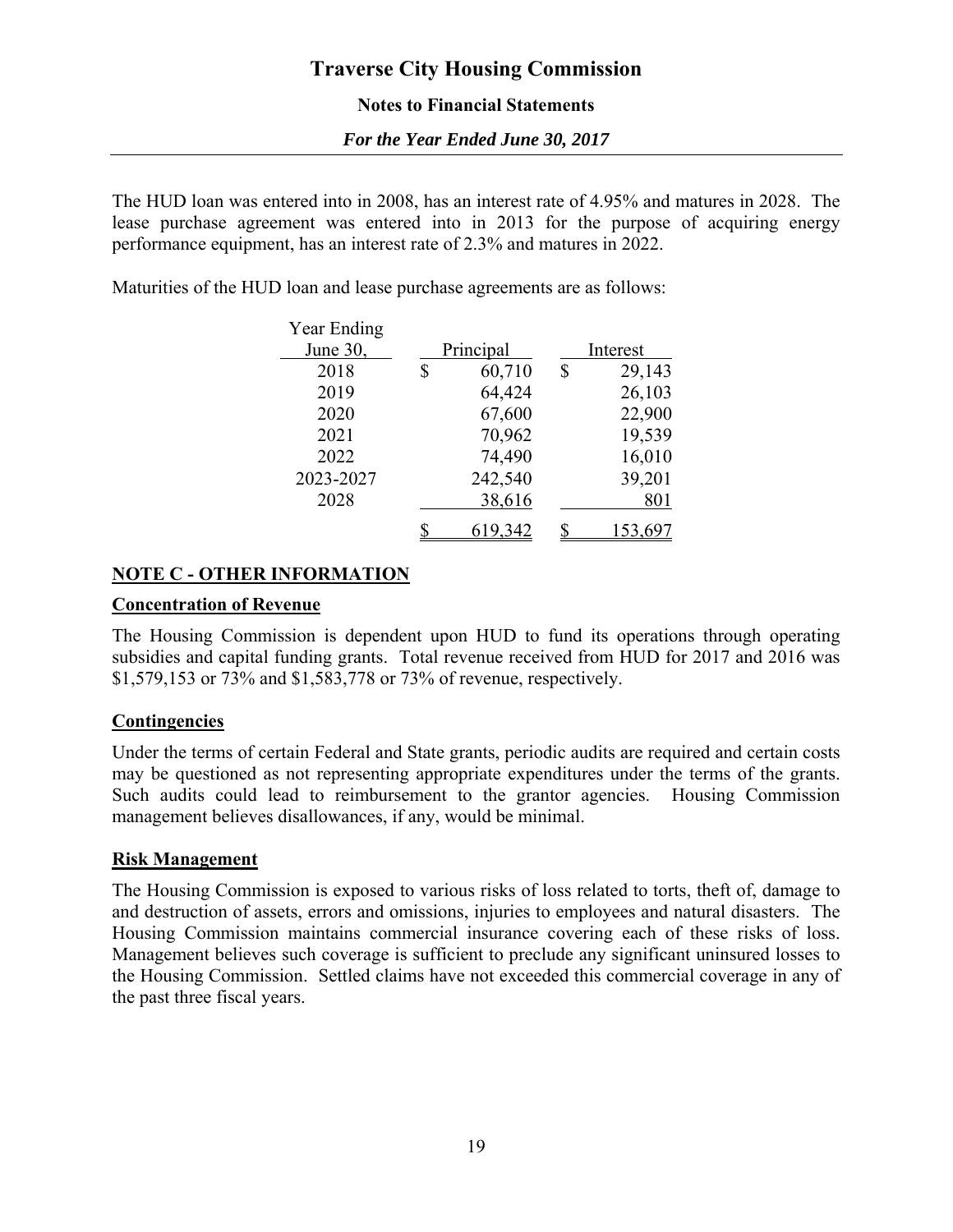**Notes to Financial Statements** 

*For the Year Ended June 30, 2017* 

The HUD loan was entered into in 2008, has an interest rate of 4.95% and matures in 2028. The lease purchase agreement was entered into in 2013 for the purpose of acquiring energy performance equipment, has an interest rate of 2.3% and matures in 2022.

Maturities of the HUD loan and lease purchase agreements are as follows:

| Year Ending |              |              |
|-------------|--------------|--------------|
| June $30$ , | Principal    | Interest     |
| 2018        | \$<br>60,710 | \$<br>29,143 |
| 2019        | 64,424       | 26,103       |
| 2020        | 67,600       | 22,900       |
| 2021        | 70,962       | 19,539       |
| 2022        | 74,490       | 16,010       |
| 2023-2027   | 242,540      | 39,201       |
| 2028        | 38,616       | 801          |
|             | 619,342      | 153,697      |

### **NOTE C - OTHER INFORMATION**

### **Concentration of Revenue**

The Housing Commission is dependent upon HUD to fund its operations through operating subsidies and capital funding grants. Total revenue received from HUD for 2017 and 2016 was \$1,579,153 or 73% and \$1,583,778 or 73% of revenue, respectively.

### **Contingencies**

Under the terms of certain Federal and State grants, periodic audits are required and certain costs may be questioned as not representing appropriate expenditures under the terms of the grants. Such audits could lead to reimbursement to the grantor agencies. Housing Commission management believes disallowances, if any, would be minimal.

### **Risk Management**

The Housing Commission is exposed to various risks of loss related to torts, theft of, damage to and destruction of assets, errors and omissions, injuries to employees and natural disasters. The Housing Commission maintains commercial insurance covering each of these risks of loss. Management believes such coverage is sufficient to preclude any significant uninsured losses to the Housing Commission. Settled claims have not exceeded this commercial coverage in any of the past three fiscal years.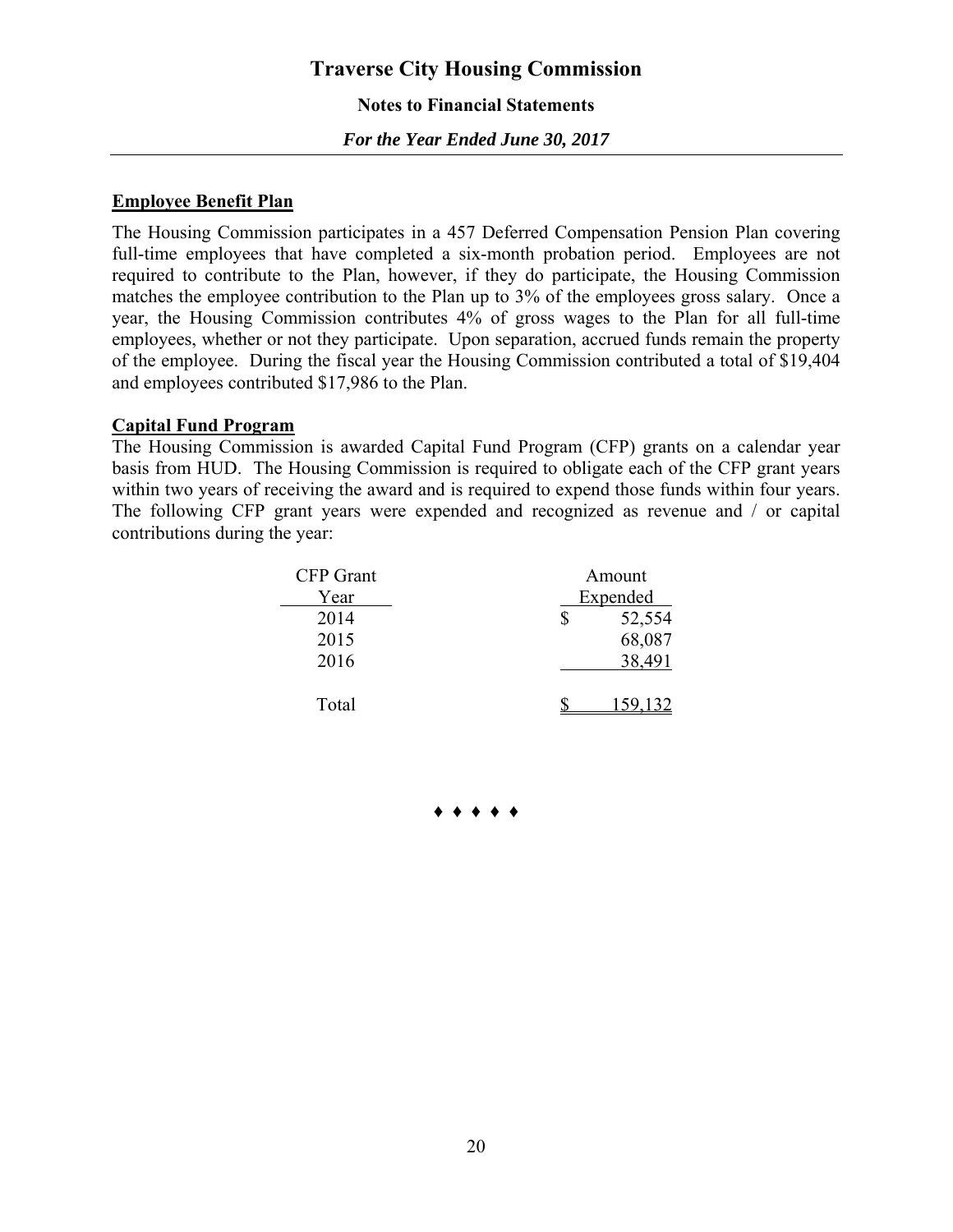### **Notes to Financial Statements**

*For the Year Ended June 30, 2017* 

#### **Employee Benefit Plan**

The Housing Commission participates in a 457 Deferred Compensation Pension Plan covering full-time employees that have completed a six-month probation period. Employees are not required to contribute to the Plan, however, if they do participate, the Housing Commission matches the employee contribution to the Plan up to 3% of the employees gross salary. Once a year, the Housing Commission contributes 4% of gross wages to the Plan for all full-time employees, whether or not they participate. Upon separation, accrued funds remain the property of the employee. During the fiscal year the Housing Commission contributed a total of \$19,404 and employees contributed \$17,986 to the Plan.

### **Capital Fund Program**

The Housing Commission is awarded Capital Fund Program (CFP) grants on a calendar year basis from HUD. The Housing Commission is required to obligate each of the CFP grant years within two years of receiving the award and is required to expend those funds within four years. The following CFP grant years were expended and recognized as revenue and / or capital contributions during the year:

| CFP Grant | Amount   |         |
|-----------|----------|---------|
| Year      | Expended |         |
| 2014      | \$       | 52,554  |
| 2015      |          | 68,087  |
| 2016      |          | 38,491  |
|           |          |         |
| Total     |          | 159,132 |
|           |          |         |

♦ ♦ ♦ ♦ ♦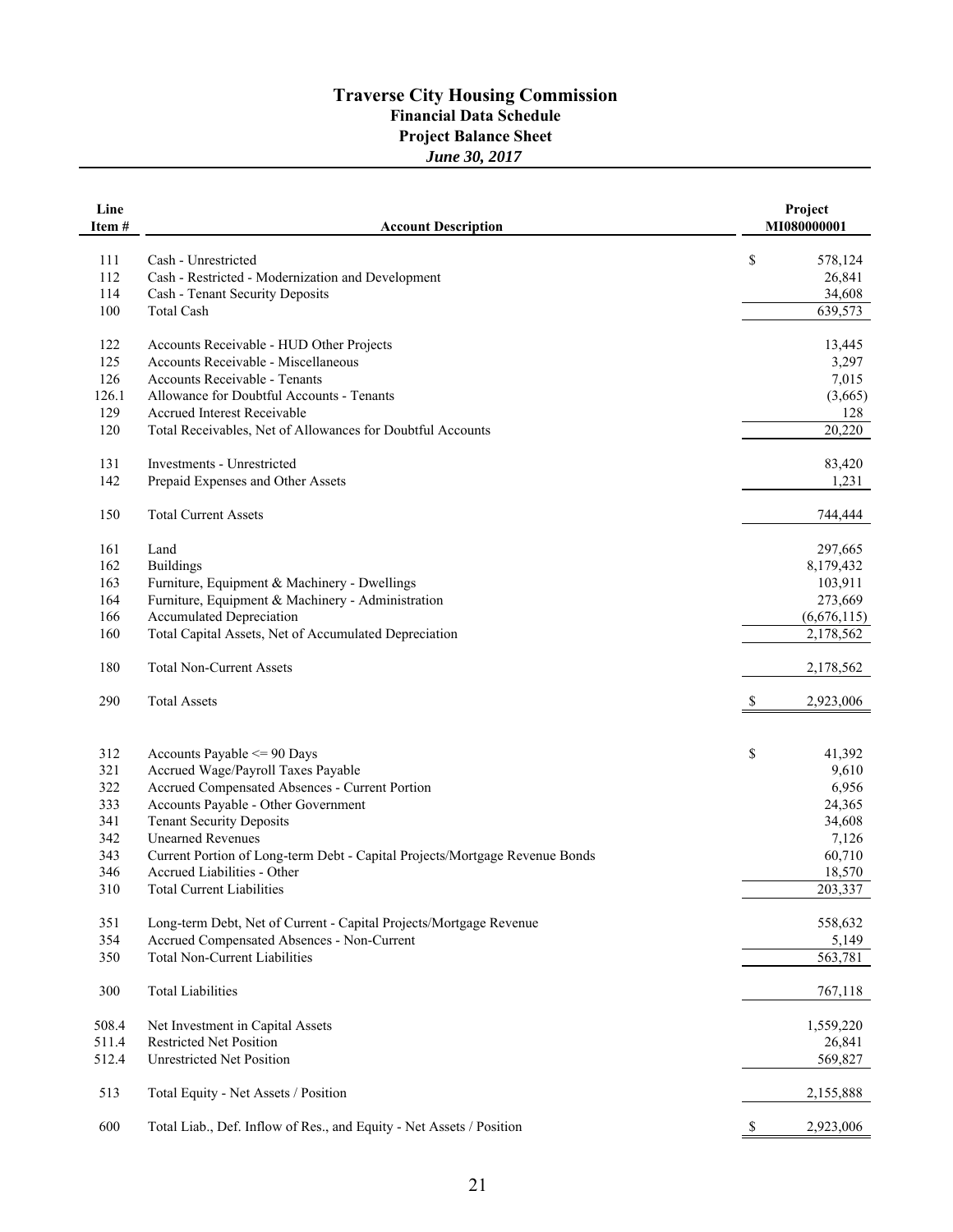### **Traverse City Housing Commission Financial Data Schedule Project Balance Sheet** *June 30, 2017*

| Line<br>Item# | <b>Account Description</b>                                                      | Project<br>MI080000001 |
|---------------|---------------------------------------------------------------------------------|------------------------|
| 111           | Cash - Unrestricted                                                             | \$<br>578,124          |
| 112           | Cash - Restricted - Modernization and Development                               | 26,841                 |
| 114           | Cash - Tenant Security Deposits                                                 | 34,608                 |
| 100           | <b>Total Cash</b>                                                               | 639,573                |
| 122           |                                                                                 | 13,445                 |
| 125           | Accounts Receivable - HUD Other Projects<br>Accounts Receivable - Miscellaneous | 3,297                  |
| 126           | Accounts Receivable - Tenants                                                   | 7,015                  |
| 126.1         | Allowance for Doubtful Accounts - Tenants                                       |                        |
| 129           | Accrued Interest Receivable                                                     | (3,665)                |
|               |                                                                                 | 128                    |
| 120           | Total Receivables, Net of Allowances for Doubtful Accounts                      | 20,220                 |
| 131           | Investments - Unrestricted                                                      | 83,420                 |
| 142           | Prepaid Expenses and Other Assets                                               | 1,231                  |
| 150           | <b>Total Current Assets</b>                                                     | 744,444                |
| 161           | Land                                                                            | 297,665                |
| 162           | <b>Buildings</b>                                                                | 8,179,432              |
| 163           | Furniture, Equipment & Machinery - Dwellings                                    | 103,911                |
| 164           | Furniture, Equipment & Machinery - Administration                               | 273,669                |
| 166           | <b>Accumulated Depreciation</b>                                                 | (6,676,115)            |
| 160           | Total Capital Assets, Net of Accumulated Depreciation                           | 2,178,562              |
| 180           | <b>Total Non-Current Assets</b>                                                 | 2,178,562              |
| 290           | <b>Total Assets</b>                                                             | 2,923,006<br>\$        |
|               |                                                                                 |                        |
| 312           | Accounts Payable <= 90 Days                                                     | \$<br>41,392           |
| 321           | Accrued Wage/Payroll Taxes Payable                                              | 9,610                  |
| 322           | Accrued Compensated Absences - Current Portion                                  | 6,956                  |
| 333           | Accounts Payable - Other Government                                             | 24,365                 |
| 341           | <b>Tenant Security Deposits</b>                                                 | 34,608                 |
| 342           | <b>Unearned Revenues</b>                                                        | 7,126                  |
| 343           | Current Portion of Long-term Debt - Capital Projects/Mortgage Revenue Bonds     | 60,710                 |
| 346           | Accrued Liabilities - Other                                                     | 18,570                 |
| 310           | Total Current Liabilities                                                       | 203,337                |
| 351           | Long-term Debt, Net of Current - Capital Projects/Mortgage Revenue              | 558,632                |
| 354           | Accrued Compensated Absences - Non-Current                                      | 5,149                  |
| 350           | <b>Total Non-Current Liabilities</b>                                            | 563,781                |
| 300           | <b>Total Liabilities</b>                                                        | 767,118                |
| 508.4         | Net Investment in Capital Assets                                                | 1,559,220              |
| 511.4         | <b>Restricted Net Position</b>                                                  | 26,841                 |
| 512.4         | Unrestricted Net Position                                                       | 569,827                |
|               |                                                                                 |                        |
| 513           | Total Equity - Net Assets / Position                                            | 2,155,888              |
| 600           | Total Liab., Def. Inflow of Res., and Equity - Net Assets / Position            | \$<br>2,923,006        |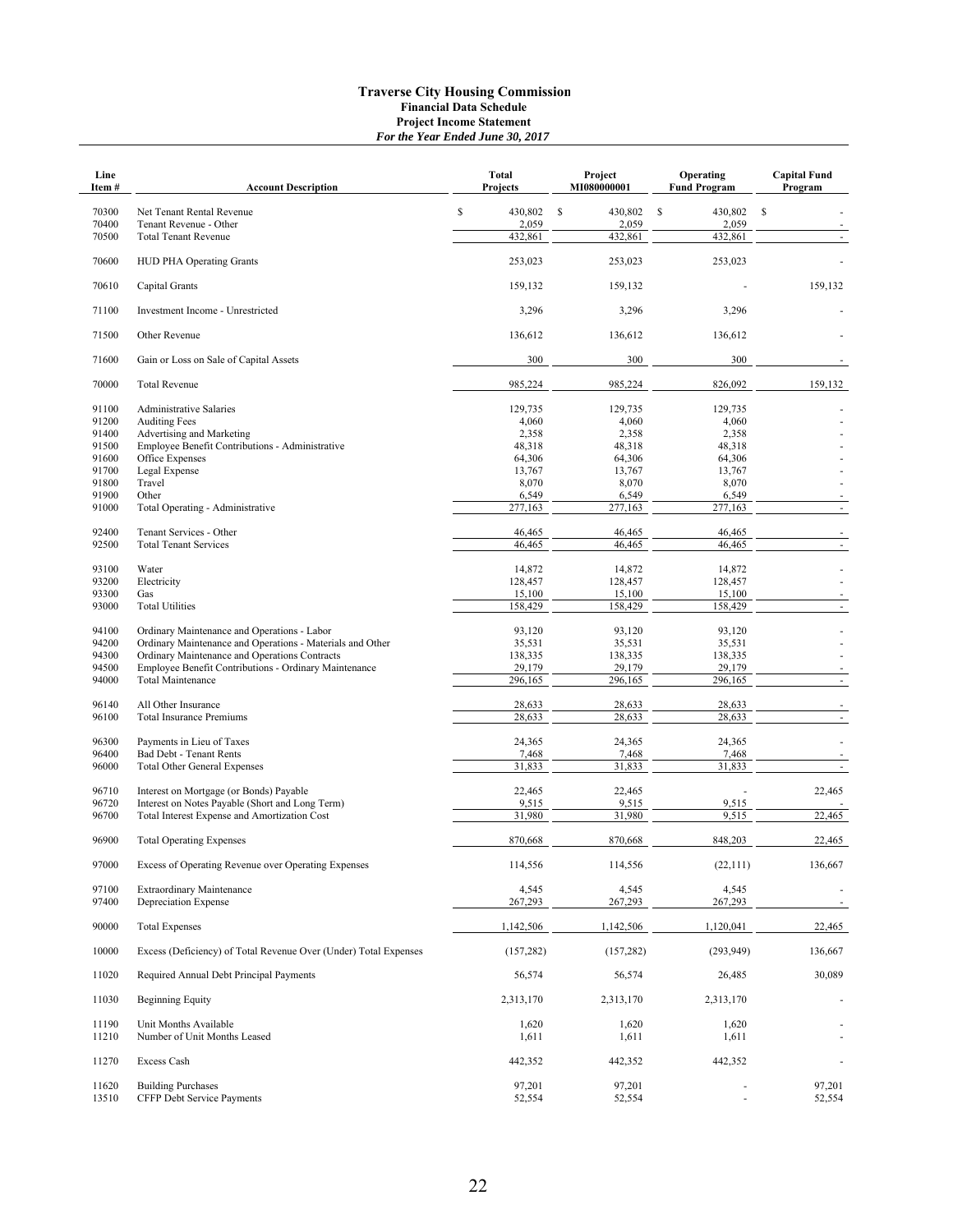#### **Traverse City Housing Commission Financial Data Schedule Project Income Statement** *For the Year Ended June 30, 2017*

| Line<br>Item#  | <b>Account Description</b>                                       | Total<br><b>Projects</b> | Project<br>MI080000001   | Operating<br><b>Fund Program</b> | <b>Capital Fund</b><br>Program |
|----------------|------------------------------------------------------------------|--------------------------|--------------------------|----------------------------------|--------------------------------|
| 70300          | Net Tenant Rental Revenue                                        | \$<br>430,802            | <sup>\$</sup><br>430,802 | $\mathsf{s}$<br>430,802          | S                              |
| 70400          | Tenant Revenue - Other                                           | 2,059                    | 2,059                    | 2,059                            |                                |
| 70500          | <b>Total Tenant Revenue</b>                                      | 432,861                  | 432,861                  | 432,861                          |                                |
| 70600          | HUD PHA Operating Grants                                         | 253,023                  | 253,023                  | 253,023                          |                                |
| 70610          | Capital Grants                                                   | 159,132                  | 159,132                  |                                  | 159,132                        |
| 71100          | Investment Income - Unrestricted                                 | 3,296                    | 3,296                    | 3,296                            |                                |
| 71500          | Other Revenue                                                    | 136,612                  | 136,612                  | 136,612                          |                                |
| 71600          | Gain or Loss on Sale of Capital Assets                           | 300                      | 300                      | 300                              |                                |
| 70000          | <b>Total Revenue</b>                                             | 985,224                  | 985,224                  | 826,092                          | 159,132                        |
| 91100          | <b>Administrative Salaries</b>                                   | 129,735                  | 129,735                  | 129,735                          |                                |
| 91200          | <b>Auditing Fees</b>                                             | 4,060                    | 4,060                    | 4,060                            |                                |
| 91400          | Advertising and Marketing                                        | 2,358                    | 2,358                    | 2,358                            |                                |
| 91500          | Employee Benefit Contributions - Administrative                  | 48,318                   | 48,318                   | 48,318                           |                                |
| 91600          | Office Expenses                                                  | 64,306                   | 64,306                   | 64,306                           |                                |
| 91700<br>91800 | Legal Expense<br>Travel                                          | 13,767<br>8,070          | 13,767<br>8,070          | 13,767<br>8,070                  |                                |
| 91900          | Other                                                            | 6,549                    | 6,549                    | 6,549                            |                                |
| 91000          | Total Operating - Administrative                                 | 277,163                  | 277,163                  | 277,163                          | $\blacksquare$                 |
|                |                                                                  |                          |                          |                                  |                                |
| 92400<br>92500 | Tenant Services - Other<br><b>Total Tenant Services</b>          | 46,465<br>46,465         | 46,465<br>46,465         | 46,465<br>46,465                 | ä,                             |
|                |                                                                  |                          |                          |                                  |                                |
| 93100          | Water                                                            | 14,872                   | 14,872                   | 14,872                           |                                |
| 93200          | Electricity                                                      | 128,457                  | 128,457                  | 128,457                          |                                |
| 93300          | Gas                                                              | 15,100                   | 15,100                   | 15,100                           |                                |
| 93000          | <b>Total Utilities</b>                                           | 158,429                  | 158,429                  | 158,429                          | $\overline{\phantom{a}}$       |
| 94100          | Ordinary Maintenance and Operations - Labor                      | 93,120                   | 93,120                   | 93,120                           |                                |
| 94200          | Ordinary Maintenance and Operations - Materials and Other        | 35,531                   | 35,531                   | 35,531                           |                                |
| 94300          | Ordinary Maintenance and Operations Contracts                    | 138,335                  | 138,335                  | 138,335                          |                                |
| 94500          | Employee Benefit Contributions - Ordinary Maintenance            | 29,179                   | 29,179                   | 29,179                           |                                |
| 94000          | Total Maintenance                                                | 296,165                  | 296,165                  | 296,165                          |                                |
| 96140          | All Other Insurance                                              | 28,633                   | 28,633                   | 28,633                           |                                |
| 96100          | Total Insurance Premiums                                         | 28,633                   | 28,633                   | 28,633                           | ä,                             |
|                |                                                                  |                          |                          |                                  |                                |
| 96300          | Payments in Lieu of Taxes                                        | 24,365                   | 24,365                   | 24,365                           |                                |
| 96400<br>96000 | Bad Debt - Tenant Rents<br><b>Total Other General Expenses</b>   | 7,468<br>31,833          | 7,468<br>31,833          | 7,468<br>31,833                  | $\overline{\phantom{a}}$       |
|                |                                                                  |                          |                          |                                  |                                |
| 96710          | Interest on Mortgage (or Bonds) Payable                          | 22,465                   | 22,465                   |                                  | 22,465                         |
| 96720          | Interest on Notes Payable (Short and Long Term)                  | 9,515                    | 9,515                    | 9,515                            |                                |
| 96700          | Total Interest Expense and Amortization Cost                     | 31,980                   | 31,980                   | 9,515                            | 22,465                         |
| 96900          | <b>Total Operating Expenses</b>                                  | 870,668                  | 870,668                  | 848,203                          | 22,465                         |
| 97000          | Excess of Operating Revenue over Operating Expenses              | 114,556                  | 114,556                  | (22, 111)                        | 136,667                        |
| 97100          | Extraordinary Maintenance                                        | 4,545                    | 4,545                    | 4,545                            |                                |
| 97400          | Depreciation Expense                                             | 267,293                  | 267,293                  | 267,293                          |                                |
| 90000          | <b>Total Expenses</b>                                            | 1,142,506                | 1,142,506                | 1,120,041                        | 22,465                         |
| 10000          | Excess (Deficiency) of Total Revenue Over (Under) Total Expenses | (157, 282)               | (157, 282)               | (293, 949)                       | 136,667                        |
| 11020          | Required Annual Debt Principal Payments                          | 56,574                   | 56,574                   | 26,485                           | 30,089                         |
| 11030          | <b>Beginning Equity</b>                                          | 2,313,170                | 2,313,170                | 2,313,170                        |                                |
| 11190<br>11210 | Unit Months Available<br>Number of Unit Months Leased            | 1,620<br>1,611           | 1,620<br>1,611           | 1,620<br>1,611                   |                                |
| 11270          | Excess Cash                                                      | 442,352                  | 442,352                  | 442,352                          |                                |
| 11620          | <b>Building Purchases</b>                                        | 97,201                   | 97,201                   |                                  | 97,201                         |
| 13510          | CFFP Debt Service Payments                                       | 52,554                   | 52,554                   |                                  | 52,554                         |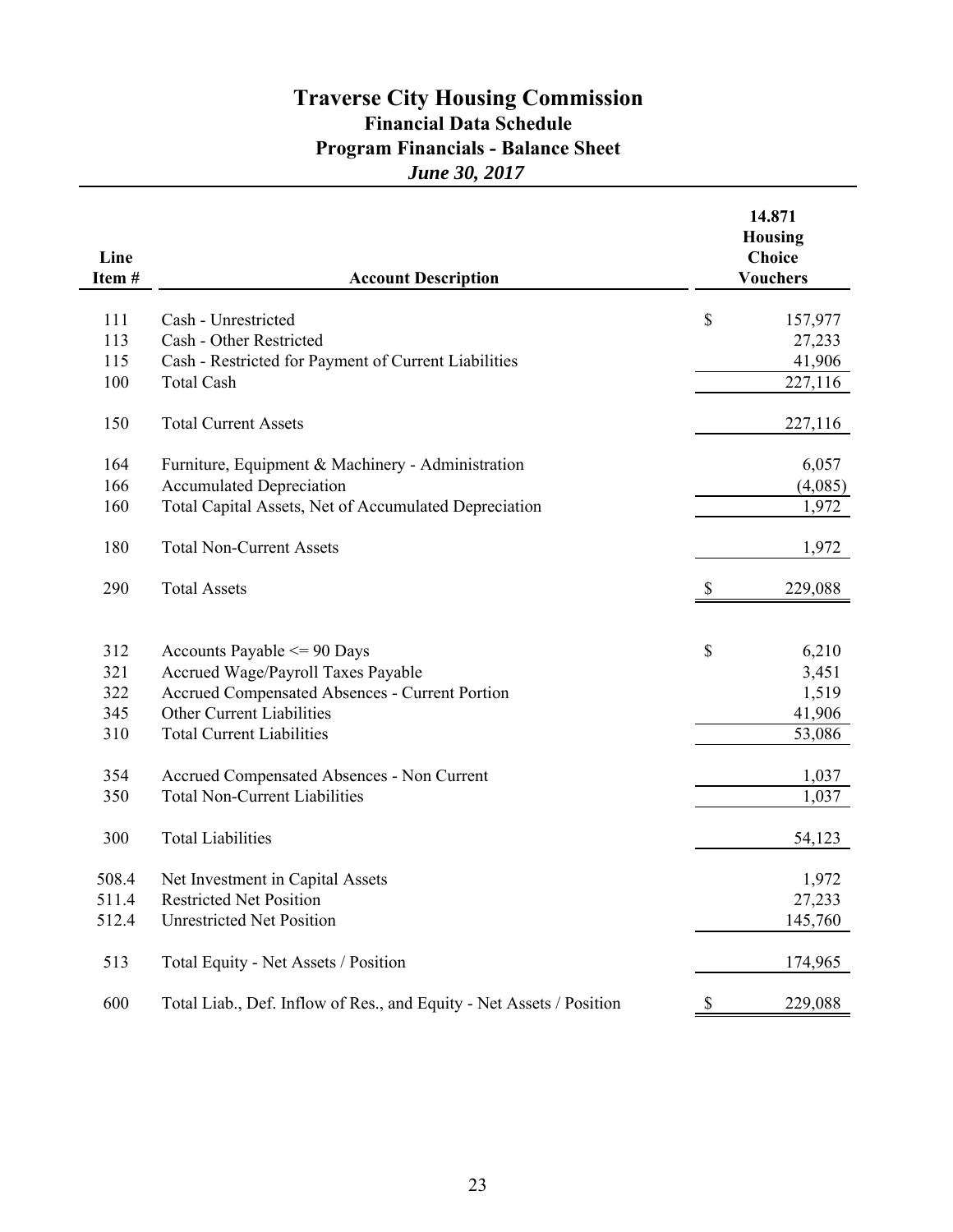### **Financial Data Schedule**

### **Program Financials - Balance Sheet**

*June 30, 2017*

| Line<br>Item# | <b>Account Description</b>                                           | 14.871<br><b>Housing</b><br><b>Choice</b><br><b>Vouchers</b> |
|---------------|----------------------------------------------------------------------|--------------------------------------------------------------|
|               |                                                                      |                                                              |
| 111<br>113    | Cash - Unrestricted<br>Cash - Other Restricted                       | \$<br>157,977                                                |
| 115           | Cash - Restricted for Payment of Current Liabilities                 | 27,233<br>41,906                                             |
| 100           | <b>Total Cash</b>                                                    | 227,116                                                      |
|               |                                                                      |                                                              |
| 150           | <b>Total Current Assets</b>                                          | 227,116                                                      |
| 164           | Furniture, Equipment & Machinery - Administration                    | 6,057                                                        |
| 166           | <b>Accumulated Depreciation</b>                                      | (4,085)                                                      |
| 160           | Total Capital Assets, Net of Accumulated Depreciation                | 1,972                                                        |
| 180           | <b>Total Non-Current Assets</b>                                      | 1,972                                                        |
| 290           | <b>Total Assets</b>                                                  | \$<br>229,088                                                |
|               |                                                                      |                                                              |
| 312           | Accounts Payable $\leq$ 90 Days                                      | \$<br>6,210                                                  |
| 321           | Accrued Wage/Payroll Taxes Payable                                   | 3,451                                                        |
| 322           | Accrued Compensated Absences - Current Portion                       | 1,519                                                        |
| 345           | Other Current Liabilities                                            | 41,906                                                       |
| 310           | <b>Total Current Liabilities</b>                                     | 53,086                                                       |
| 354           | Accrued Compensated Absences - Non Current                           | 1,037                                                        |
| 350           | <b>Total Non-Current Liabilities</b>                                 | 1,037                                                        |
| 300           | <b>Total Liabilities</b>                                             | 54,123                                                       |
| 508.4         | Net Investment in Capital Assets                                     | 1,972                                                        |
| 511.4         | <b>Restricted Net Position</b>                                       | 27,233                                                       |
| 512.4         | <b>Unrestricted Net Position</b>                                     | 145,760                                                      |
| 513           | Total Equity - Net Assets / Position                                 | 174,965                                                      |
| 600           | Total Liab., Def. Inflow of Res., and Equity - Net Assets / Position | \$<br>229,088                                                |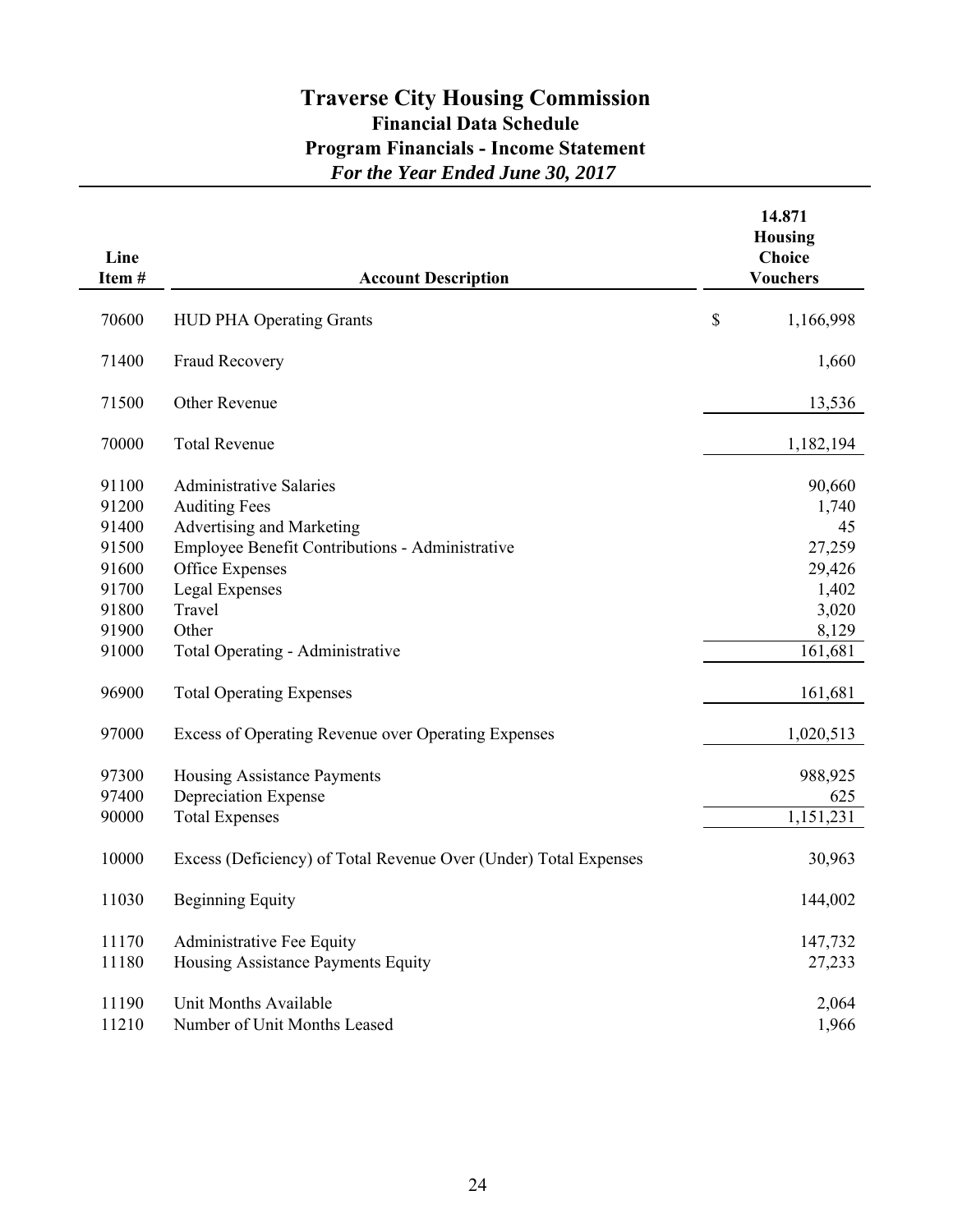### **Traverse City Housing Commission Financial Data Schedule Program Financials - Income Statement** *For the Year Ended June 30, 2017*

| Line<br>Item# | <b>Account Description</b>                                       | 14.871<br><b>Housing</b><br><b>Choice</b><br><b>Vouchers</b> |
|---------------|------------------------------------------------------------------|--------------------------------------------------------------|
| 70600         | <b>HUD PHA Operating Grants</b>                                  | \$<br>1,166,998                                              |
| 71400         | Fraud Recovery                                                   | 1,660                                                        |
| 71500         | Other Revenue                                                    | 13,536                                                       |
| 70000         | <b>Total Revenue</b>                                             | 1,182,194                                                    |
| 91100         | <b>Administrative Salaries</b>                                   | 90,660                                                       |
| 91200         | <b>Auditing Fees</b>                                             | 1,740                                                        |
| 91400         | Advertising and Marketing                                        | 45                                                           |
| 91500         | Employee Benefit Contributions - Administrative                  | 27,259                                                       |
| 91600         | Office Expenses                                                  | 29,426                                                       |
| 91700         | Legal Expenses                                                   | 1,402                                                        |
| 91800         | Travel                                                           | 3,020                                                        |
| 91900         | Other                                                            | 8,129                                                        |
| 91000         | Total Operating - Administrative                                 | 161,681                                                      |
| 96900         | <b>Total Operating Expenses</b>                                  | 161,681                                                      |
| 97000         | Excess of Operating Revenue over Operating Expenses              | 1,020,513                                                    |
| 97300         | Housing Assistance Payments                                      | 988,925                                                      |
| 97400         | Depreciation Expense                                             | 625                                                          |
| 90000         | <b>Total Expenses</b>                                            | 1,151,231                                                    |
| 10000         | Excess (Deficiency) of Total Revenue Over (Under) Total Expenses | 30,963                                                       |
| 11030         | <b>Beginning Equity</b>                                          | 144,002                                                      |
| 11170         | Administrative Fee Equity                                        | 147,732                                                      |
| 11180         | Housing Assistance Payments Equity                               | 27,233                                                       |
| 11190         | Unit Months Available                                            | 2,064                                                        |
| 11210         | Number of Unit Months Leased                                     | 1,966                                                        |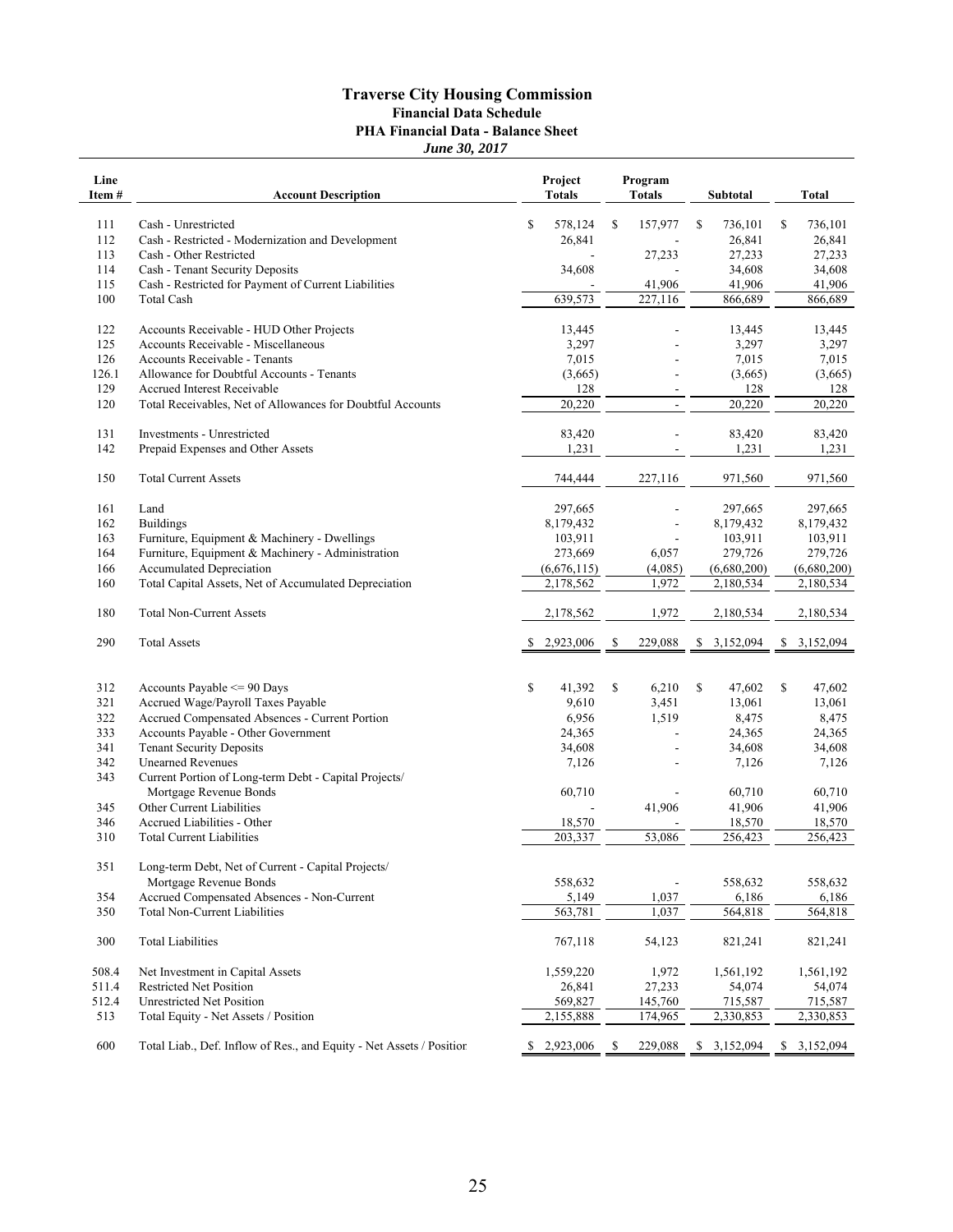### **Financial Data Schedule**

**PHA Financial Data - Balance Sheet**

#### *June 30, 2017*

| Line<br>Item# | <b>Account Description</b>                                           |    | Project<br><b>Totals</b> |    | Program<br><b>Totals</b> | Subtotal         | Total           |
|---------------|----------------------------------------------------------------------|----|--------------------------|----|--------------------------|------------------|-----------------|
| 111           | Cash - Unrestricted                                                  | \$ | 578,124                  | \$ | 157,977                  | \$<br>736,101    | \$<br>736,101   |
| 112           | Cash - Restricted - Modernization and Development                    |    | 26,841                   |    |                          | 26,841           | 26,841          |
| 113           | Cash - Other Restricted                                              |    |                          |    | 27,233                   | 27,233           | 27,233          |
| 114           | Cash - Tenant Security Deposits                                      |    | 34,608                   |    |                          | 34,608           | 34,608          |
| 115           | Cash - Restricted for Payment of Current Liabilities                 |    |                          |    | 41,906                   | 41,906           | 41,906          |
| 100           | <b>Total Cash</b>                                                    |    | 639,573                  |    | 227,116                  | 866,689          | 866,689         |
| 122           | Accounts Receivable - HUD Other Projects                             |    | 13,445                   |    |                          | 13,445           | 13,445          |
| 125           | Accounts Receivable - Miscellaneous                                  |    | 3,297                    |    |                          | 3,297            | 3,297           |
| 126           | <b>Accounts Receivable - Tenants</b>                                 |    | 7,015                    |    |                          | 7,015            | 7,015           |
| 126.1         | Allowance for Doubtful Accounts - Tenants                            |    | (3,665)                  |    |                          | (3,665)          | (3,665)         |
| 129           | Accrued Interest Receivable                                          |    | 128                      |    |                          | 128              | 128             |
| 120           | Total Receivables, Net of Allowances for Doubtful Accounts           |    | 20,220                   |    | $\overline{\phantom{a}}$ | 20,220           | 20,220          |
| 131           | Investments - Unrestricted                                           |    | 83,420                   |    |                          | 83,420           | 83,420          |
| 142           | Prepaid Expenses and Other Assets                                    |    | 1,231                    |    |                          | 1,231            | 1,231           |
| 150           | <b>Total Current Assets</b>                                          |    | 744,444                  |    | 227,116                  | 971,560          | 971,560         |
| 161           | Land                                                                 |    | 297,665                  |    |                          | 297,665          | 297,665         |
| 162           | <b>Buildings</b>                                                     |    | 8,179,432                |    |                          | 8,179,432        | 8,179,432       |
| 163           | Furniture, Equipment & Machinery - Dwellings                         |    | 103,911                  |    |                          | 103,911          | 103,911         |
| 164           | Furniture, Equipment & Machinery - Administration                    |    | 273,669                  |    | 6,057                    | 279,726          | 279,726         |
| 166           | <b>Accumulated Depreciation</b>                                      |    | (6,676,115)              |    | (4,085)                  | (6,680,200)      | (6,680,200)     |
| 160           | Total Capital Assets, Net of Accumulated Depreciation                |    | 2,178,562                |    | 1,972                    | 2,180,534        | 2,180,534       |
| 180           | <b>Total Non-Current Assets</b>                                      |    | 2,178,562                |    | 1,972                    | 2,180,534        | 2,180,534       |
| 290           | <b>Total Assets</b>                                                  | S  | 2,923,006                | S  | 229,088                  | \$<br>3,152,094  | \$<br>3,152,094 |
|               |                                                                      |    |                          |    |                          |                  |                 |
| 312           | Accounts Payable <= 90 Days                                          | \$ | 41,392                   | \$ | 6,210                    | \$<br>47,602     | \$<br>47,602    |
| 321           | Accrued Wage/Payroll Taxes Payable                                   |    | 9,610                    |    | 3,451                    | 13,061           | 13,061          |
| 322           | Accrued Compensated Absences - Current Portion                       |    | 6,956                    |    | 1,519                    | 8,475            | 8,475           |
| 333           | Accounts Payable - Other Government                                  |    | 24,365                   |    |                          | 24,365           | 24,365          |
| 341           | <b>Tenant Security Deposits</b>                                      |    | 34,608                   |    |                          | 34,608           | 34,608          |
| 342           | <b>Unearned Revenues</b>                                             |    | 7,126                    |    |                          | 7,126            | 7,126           |
| 343           | Current Portion of Long-term Debt - Capital Projects/                |    |                          |    |                          |                  |                 |
|               | Mortgage Revenue Bonds                                               |    | 60,710                   |    |                          | 60.710           | 60,710          |
| 345           | Other Current Liabilities                                            |    |                          |    | 41,906                   | 41,906           | 41,906          |
| 346           | Accrued Liabilities - Other                                          |    | 18,570                   |    |                          | 18,570           | 18,570          |
| 310           | <b>Total Current Liabilities</b>                                     |    | 203,337                  |    | 53,086                   | 256,423          | 256,423         |
| 351           | Long-term Debt, Net of Current - Capital Projects/                   |    |                          |    |                          |                  |                 |
|               | Mortgage Revenue Bonds                                               |    | 558,632                  |    | $\overline{\phantom{a}}$ | 558,632          | 558,632         |
| 354           | Accrued Compensated Absences - Non-Current                           |    | 5,149                    |    | 1,037                    | 6,186            | 6,186           |
| 350           | <b>Total Non-Current Liabilities</b>                                 |    | 563,781                  |    | 1,037                    | $\sqrt{564,818}$ | 564,818         |
| 300           | <b>Total Liabilities</b>                                             |    | 767,118                  |    | 54,123                   | 821,241          | 821,241         |
| 508.4         | Net Investment in Capital Assets                                     |    | 1,559,220                |    | 1,972                    | 1,561,192        | 1,561,192       |
| 511.4         | <b>Restricted Net Position</b>                                       |    | 26,841                   |    | 27,233                   | 54,074           | 54,074          |
| 512.4         | <b>Unrestricted Net Position</b>                                     |    | 569,827                  |    | 145,760                  | 715,587          | 715,587         |
| 513           | Total Equity - Net Assets / Position                                 |    | 2,155,888                |    | 174,965                  | 2,330,853        | 2,330,853       |
| 600           | Total Liab., Def. Inflow of Res., and Equity - Net Assets / Position | \$ | 2,923,006                | -S | 229,088                  | \$3,152,094      | \$3,152,094     |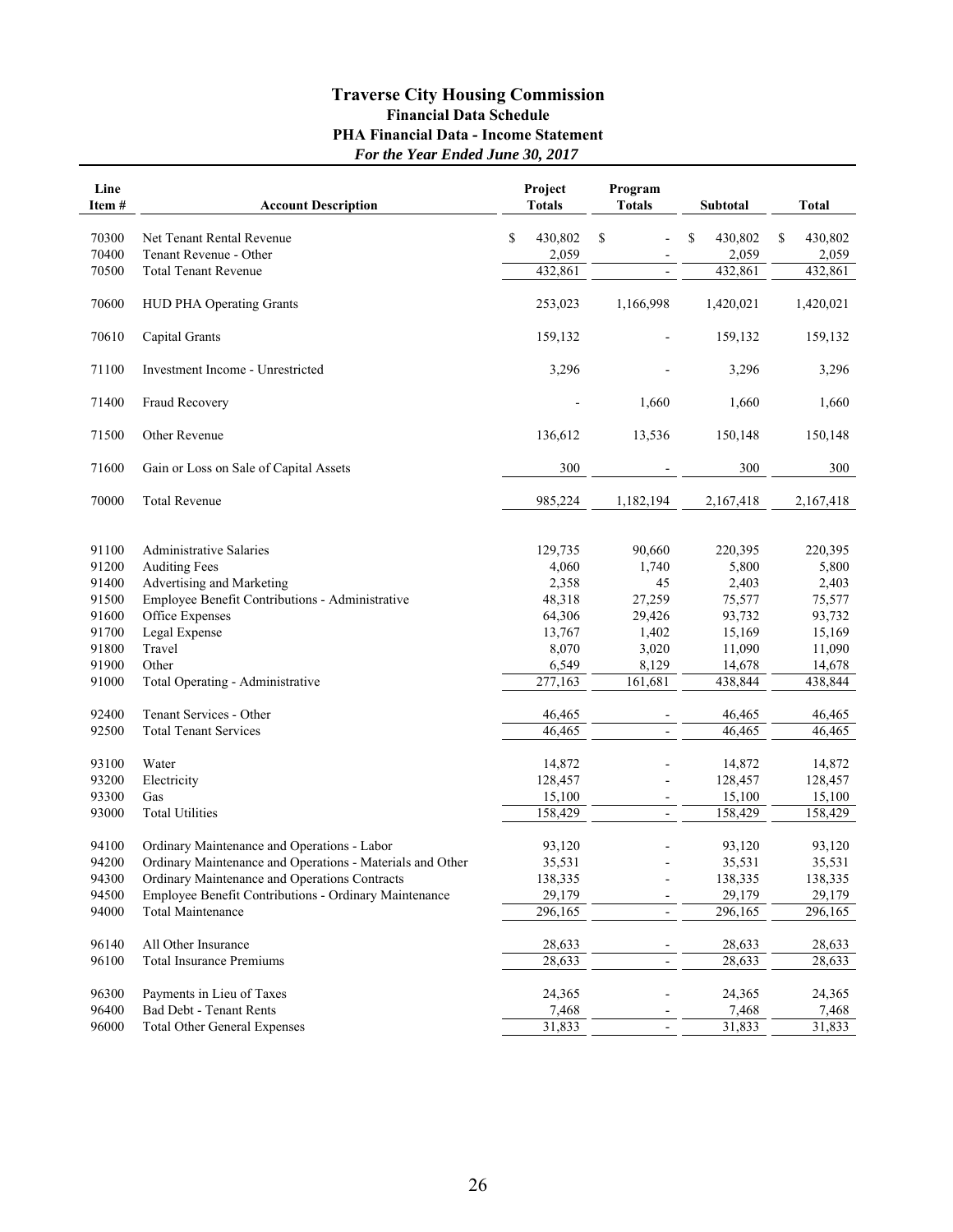#### **Traverse City Housing Commission Financial Data Schedule PHA Financial Data - Income Statement** *For the Year Ended June 30, 2017*

| Line<br>Item# | <b>Account Description</b>                                | Project<br><b>Totals</b> | Program<br><b>Totals</b>     | Subtotal          | <b>Total</b>      |
|---------------|-----------------------------------------------------------|--------------------------|------------------------------|-------------------|-------------------|
| 70300         | Net Tenant Rental Revenue                                 | \$<br>430,802            | \$                           | \$<br>430,802     | \$<br>430,802     |
| 70400         | Tenant Revenue - Other                                    | 2,059                    |                              | 2,059             | 2,059             |
| 70500         | <b>Total Tenant Revenue</b>                               | 432,861                  | $\overline{a}$               | 432,861           | 432,861           |
| 70600         | HUD PHA Operating Grants                                  | 253,023                  | 1,166,998                    | 1,420,021         | 1,420,021         |
| 70610         | Capital Grants                                            | 159,132                  |                              | 159,132           | 159,132           |
| 71100         | Investment Income - Unrestricted                          | 3,296                    |                              | 3,296             | 3,296             |
| 71400         | Fraud Recovery                                            |                          | 1,660                        | 1,660             | 1,660             |
| 71500         | Other Revenue                                             | 136,612                  | 13,536                       | 150,148           | 150,148           |
| 71600         | Gain or Loss on Sale of Capital Assets                    | 300                      |                              | 300               | 300               |
| 70000         | <b>Total Revenue</b>                                      | 985,224                  | 1,182,194                    | 2,167,418         | 2,167,418         |
| 91100         | <b>Administrative Salaries</b>                            | 129,735                  | 90,660                       | 220,395           | 220,395           |
| 91200         | <b>Auditing Fees</b>                                      | 4,060                    | 1,740                        | 5,800             | 5,800             |
| 91400         | Advertising and Marketing                                 | 2,358                    | 45                           | 2,403             | 2,403             |
| 91500         | Employee Benefit Contributions - Administrative           | 48,318                   | 27,259                       | 75,577            | 75,577            |
| 91600         | Office Expenses                                           | 64,306                   | 29,426                       | 93,732            | 93,732            |
| 91700         | Legal Expense                                             | 13,767                   | 1,402                        | 15,169            | 15,169            |
| 91800         | Travel                                                    | 8,070                    | 3,020                        | 11,090            | 11,090            |
| 91900         | Other                                                     | 6,549                    | 8,129                        | 14,678            | 14,678            |
| 91000         | Total Operating - Administrative                          | 277,163                  | 161,681                      | 438,844           | 438,844           |
| 92400         | Tenant Services - Other                                   | 46,465                   |                              | 46,465            | 46,465            |
| 92500         | <b>Total Tenant Services</b>                              | 46,465                   | $\overline{\phantom{a}}$     | 46,465            | 46,465            |
|               |                                                           |                          |                              |                   |                   |
| 93100         | Water                                                     | 14,872                   |                              | 14,872            | 14,872            |
| 93200         | Electricity<br>Gas                                        | 128,457                  |                              | 128,457           | 128,457           |
| 93300         | <b>Total Utilities</b>                                    | 15,100<br>158,429        |                              | 15,100<br>158,429 | 15,100<br>158,429 |
| 93000         |                                                           |                          | $\overline{\phantom{a}}$     |                   |                   |
| 94100         | Ordinary Maintenance and Operations - Labor               | 93,120                   |                              | 93,120            | 93,120            |
| 94200         | Ordinary Maintenance and Operations - Materials and Other | 35,531                   |                              | 35,531            | 35,531            |
| 94300         | Ordinary Maintenance and Operations Contracts             | 138,335                  | $\qquad \qquad \blacksquare$ | 138,335           | 138,335           |
| 94500         | Employee Benefit Contributions - Ordinary Maintenance     | 29,179                   |                              | 29,179            | 29,179            |
| 94000         | <b>Total Maintenance</b>                                  | 296,165                  | $\overline{\phantom{a}}$     | 296,165           | 296,165           |
| 96140         | All Other Insurance                                       | 28,633                   |                              | 28,633            | 28,633            |
| 96100         | <b>Total Insurance Premiums</b>                           | 28,633                   | $\overline{\phantom{a}}$     | 28,633            | 28,633            |
|               |                                                           |                          |                              |                   |                   |
| 96300         | Payments in Lieu of Taxes                                 | 24,365                   |                              | 24,365            | 24,365            |
| 96400         | Bad Debt - Tenant Rents                                   | 7,468                    |                              | 7,468             | 7,468             |
| 96000         | <b>Total Other General Expenses</b>                       | 31,833                   | $\blacksquare$               | 31,833            | 31,833            |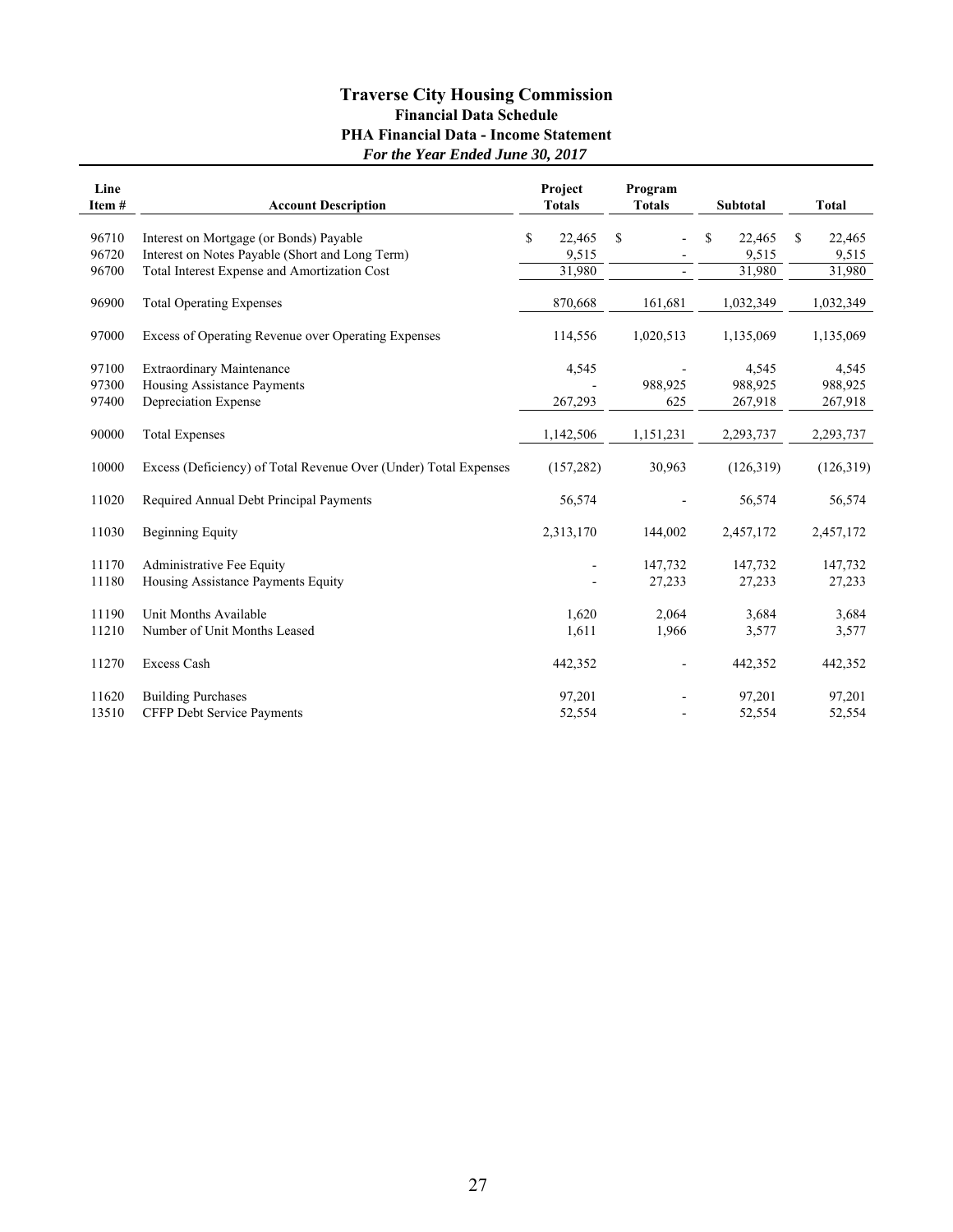#### **Traverse City Housing Commission Financial Data Schedule PHA Financial Data - Income Statement** *For the Year Ended June 30, 2017*

| Line<br>Item# | <b>Account Description</b>                                       | Project<br><b>Totals</b> | Program<br><b>Totals</b> | Subtotal    | <b>Total</b> |
|---------------|------------------------------------------------------------------|--------------------------|--------------------------|-------------|--------------|
| 96710         | Interest on Mortgage (or Bonds) Payable                          | \$<br>22,465             | \$                       | S<br>22,465 | \$<br>22,465 |
| 96720         | Interest on Notes Payable (Short and Long Term)                  | 9,515                    |                          | 9,515       | 9,515        |
| 96700         | Total Interest Expense and Amortization Cost                     | 31,980                   |                          | 31,980      | 31,980       |
| 96900         | <b>Total Operating Expenses</b>                                  | 870,668                  | 161,681                  | 1,032,349   | 1,032,349    |
| 97000         | Excess of Operating Revenue over Operating Expenses              | 114,556                  | 1,020,513                | 1,135,069   | 1,135,069    |
| 97100         | <b>Extraordinary Maintenance</b>                                 | 4,545                    |                          | 4,545       | 4,545        |
| 97300         | Housing Assistance Payments                                      |                          | 988,925                  | 988,925     | 988,925      |
| 97400         | Depreciation Expense                                             | 267,293                  | 625                      | 267,918     | 267,918      |
| 90000         | <b>Total Expenses</b>                                            | 1,142,506                | 1,151,231                | 2,293,737   | 2,293,737    |
| 10000         | Excess (Deficiency) of Total Revenue Over (Under) Total Expenses | (157, 282)               | 30,963                   | (126, 319)  | (126, 319)   |
| 11020         | Required Annual Debt Principal Payments                          | 56,574                   |                          | 56,574      | 56,574       |
| 11030         | <b>Beginning Equity</b>                                          | 2,313,170                | 144,002                  | 2,457,172   | 2,457,172    |
| 11170         | Administrative Fee Equity                                        |                          | 147,732                  | 147,732     | 147,732      |
| 11180         | Housing Assistance Payments Equity                               |                          | 27,233                   | 27,233      | 27,233       |
| 11190         | Unit Months Available                                            | 1,620                    | 2,064                    | 3,684       | 3,684        |
| 11210         | Number of Unit Months Leased                                     | 1,611                    | 1,966                    | 3,577       | 3,577        |
| 11270         | Excess Cash                                                      | 442,352                  |                          | 442,352     | 442,352      |
| 11620         | <b>Building Purchases</b>                                        | 97,201                   |                          | 97,201      | 97,201       |
| 13510         | <b>CFFP Debt Service Payments</b>                                | 52,554                   |                          | 52,554      | 52,554       |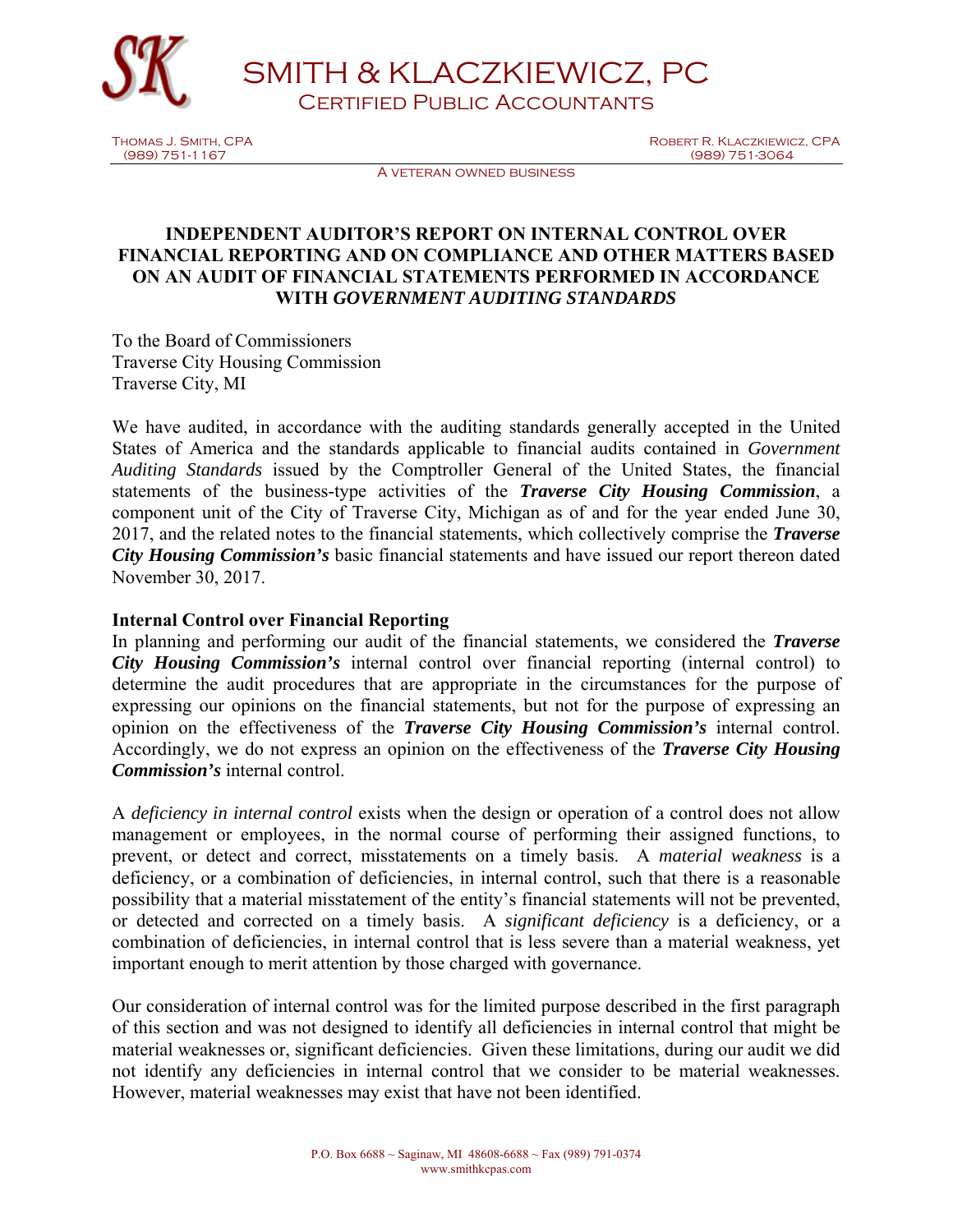

SMITH & KLACZKIEWICZ, PC Certified Public Accountants

Thomas J. Smith, CPA Robert R. Klaczkiewicz, CPA Robert R. Klaczkiewicz, CPA Robert R. Klaczkiewicz, CPA (989)<br>(989) 751-1167 (989) 751-3064 (989) 751-3064

A veteran owned business

### **INDEPENDENT AUDITOR'S REPORT ON INTERNAL CONTROL OVER FINANCIAL REPORTING AND ON COMPLIANCE AND OTHER MATTERS BASED ON AN AUDIT OF FINANCIAL STATEMENTS PERFORMED IN ACCORDANCE WITH** *GOVERNMENT AUDITING STANDARDS*

To the Board of Commissioners Traverse City Housing Commission Traverse City, MI

We have audited, in accordance with the auditing standards generally accepted in the United States of America and the standards applicable to financial audits contained in *Government Auditing Standards* issued by the Comptroller General of the United States, the financial statements of the business-type activities of the *Traverse City Housing Commission*, a component unit of the City of Traverse City, Michigan as of and for the year ended June 30, 2017, and the related notes to the financial statements, which collectively comprise the *Traverse City Housing Commission's* basic financial statements and have issued our report thereon dated November 30, 2017.

### **Internal Control over Financial Reporting**

In planning and performing our audit of the financial statements, we considered the *Traverse City Housing Commission's* internal control over financial reporting (internal control) to determine the audit procedures that are appropriate in the circumstances for the purpose of expressing our opinions on the financial statements, but not for the purpose of expressing an opinion on the effectiveness of the *Traverse City Housing Commission's* internal control. Accordingly, we do not express an opinion on the effectiveness of the *Traverse City Housing Commission's* internal control.

A *deficiency in internal control* exists when the design or operation of a control does not allow management or employees, in the normal course of performing their assigned functions, to prevent, or detect and correct, misstatements on a timely basis. A *material weakness* is a deficiency, or a combination of deficiencies, in internal control, such that there is a reasonable possibility that a material misstatement of the entity's financial statements will not be prevented, or detected and corrected on a timely basis. A *significant deficiency* is a deficiency, or a combination of deficiencies, in internal control that is less severe than a material weakness, yet important enough to merit attention by those charged with governance.

Our consideration of internal control was for the limited purpose described in the first paragraph of this section and was not designed to identify all deficiencies in internal control that might be material weaknesses or, significant deficiencies. Given these limitations, during our audit we did not identify any deficiencies in internal control that we consider to be material weaknesses. However, material weaknesses may exist that have not been identified.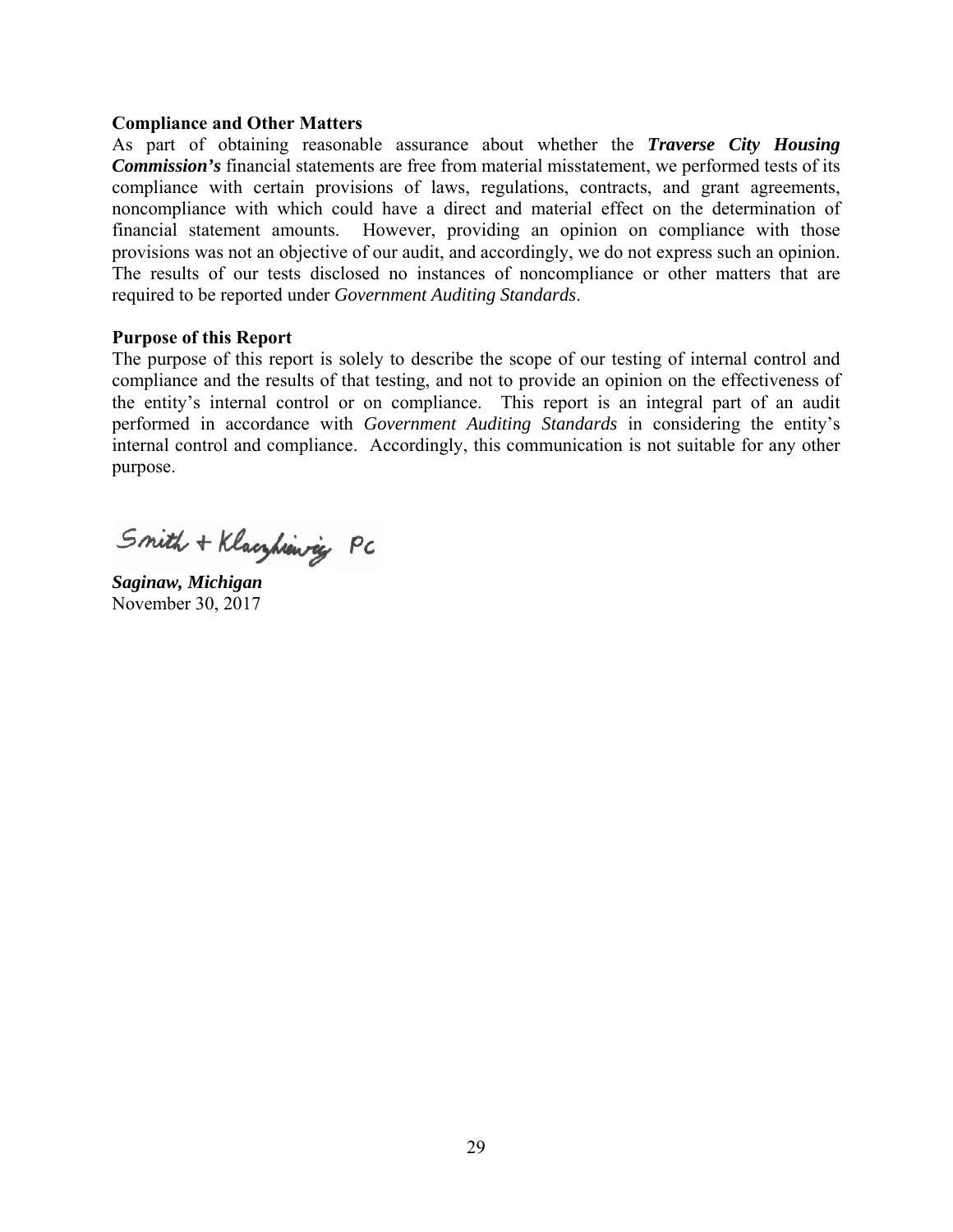#### **Compliance and Other Matters**

As part of obtaining reasonable assurance about whether the *Traverse City Housing Commission's* financial statements are free from material misstatement, we performed tests of its compliance with certain provisions of laws, regulations, contracts, and grant agreements, noncompliance with which could have a direct and material effect on the determination of financial statement amounts. However, providing an opinion on compliance with those provisions was not an objective of our audit, and accordingly, we do not express such an opinion. The results of our tests disclosed no instances of noncompliance or other matters that are required to be reported under *Government Auditing Standards*.

### **Purpose of this Report**

The purpose of this report is solely to describe the scope of our testing of internal control and compliance and the results of that testing, and not to provide an opinion on the effectiveness of the entity's internal control or on compliance. This report is an integral part of an audit performed in accordance with *Government Auditing Standards* in considering the entity's internal control and compliance. Accordingly, this communication is not suitable for any other purpose.

Smith + Klacyhiavicy PC

*Saginaw, Michigan* November 30, 2017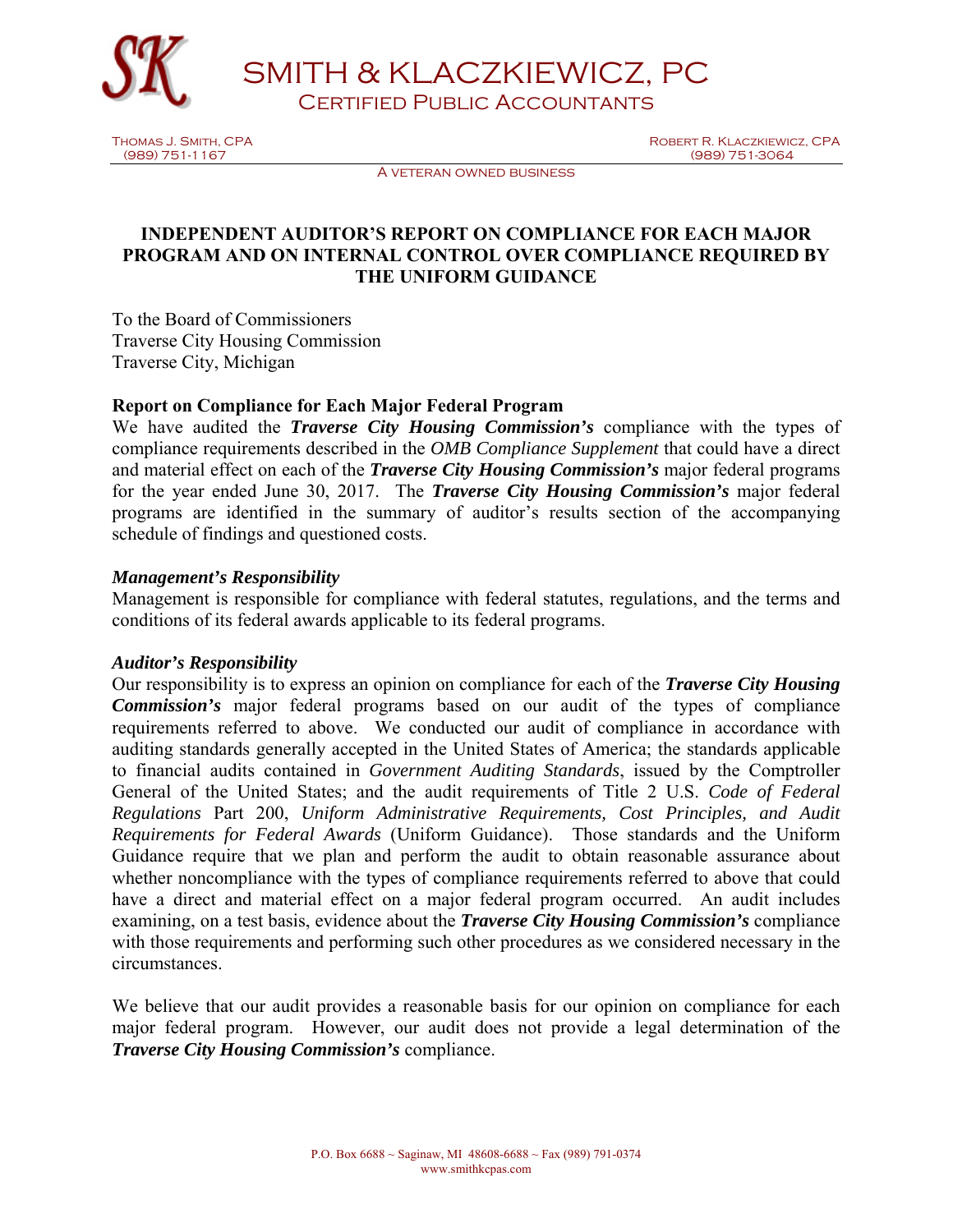

SMITH & KLACZKIEWICZ, PC Certified Public Accountants

Thomas J. Smith, CPA Robert R. Klaczkiewicz, CPA Robert R. Klaczkiewicz, CPA Robert R. Klaczkiewicz, CPA (989)<br>1989) 751-3064 (989) 751-3064 (989) 751-3064

A veteran owned business

### **INDEPENDENT AUDITOR'S REPORT ON COMPLIANCE FOR EACH MAJOR PROGRAM AND ON INTERNAL CONTROL OVER COMPLIANCE REQUIRED BY THE UNIFORM GUIDANCE**

To the Board of Commissioners Traverse City Housing Commission Traverse City, Michigan

### **Report on Compliance for Each Major Federal Program**

We have audited the *Traverse City Housing Commission's* compliance with the types of compliance requirements described in the *OMB Compliance Supplement* that could have a direct and material effect on each of the *Traverse City Housing Commission's* major federal programs for the year ended June 30, 2017. The *Traverse City Housing Commission's* major federal programs are identified in the summary of auditor's results section of the accompanying schedule of findings and questioned costs.

### *Management's Responsibility*

Management is responsible for compliance with federal statutes, regulations, and the terms and conditions of its federal awards applicable to its federal programs.

### *Auditor's Responsibility*

Our responsibility is to express an opinion on compliance for each of the *Traverse City Housing Commission's* major federal programs based on our audit of the types of compliance requirements referred to above. We conducted our audit of compliance in accordance with auditing standards generally accepted in the United States of America; the standards applicable to financial audits contained in *Government Auditing Standards*, issued by the Comptroller General of the United States; and the audit requirements of Title 2 U.S. *Code of Federal Regulations* Part 200, *Uniform Administrative Requirements, Cost Principles, and Audit Requirements for Federal Awards* (Uniform Guidance). Those standards and the Uniform Guidance require that we plan and perform the audit to obtain reasonable assurance about whether noncompliance with the types of compliance requirements referred to above that could have a direct and material effect on a major federal program occurred. An audit includes examining, on a test basis, evidence about the *Traverse City Housing Commission's* compliance with those requirements and performing such other procedures as we considered necessary in the circumstances.

We believe that our audit provides a reasonable basis for our opinion on compliance for each major federal program. However, our audit does not provide a legal determination of the *Traverse City Housing Commission's* compliance.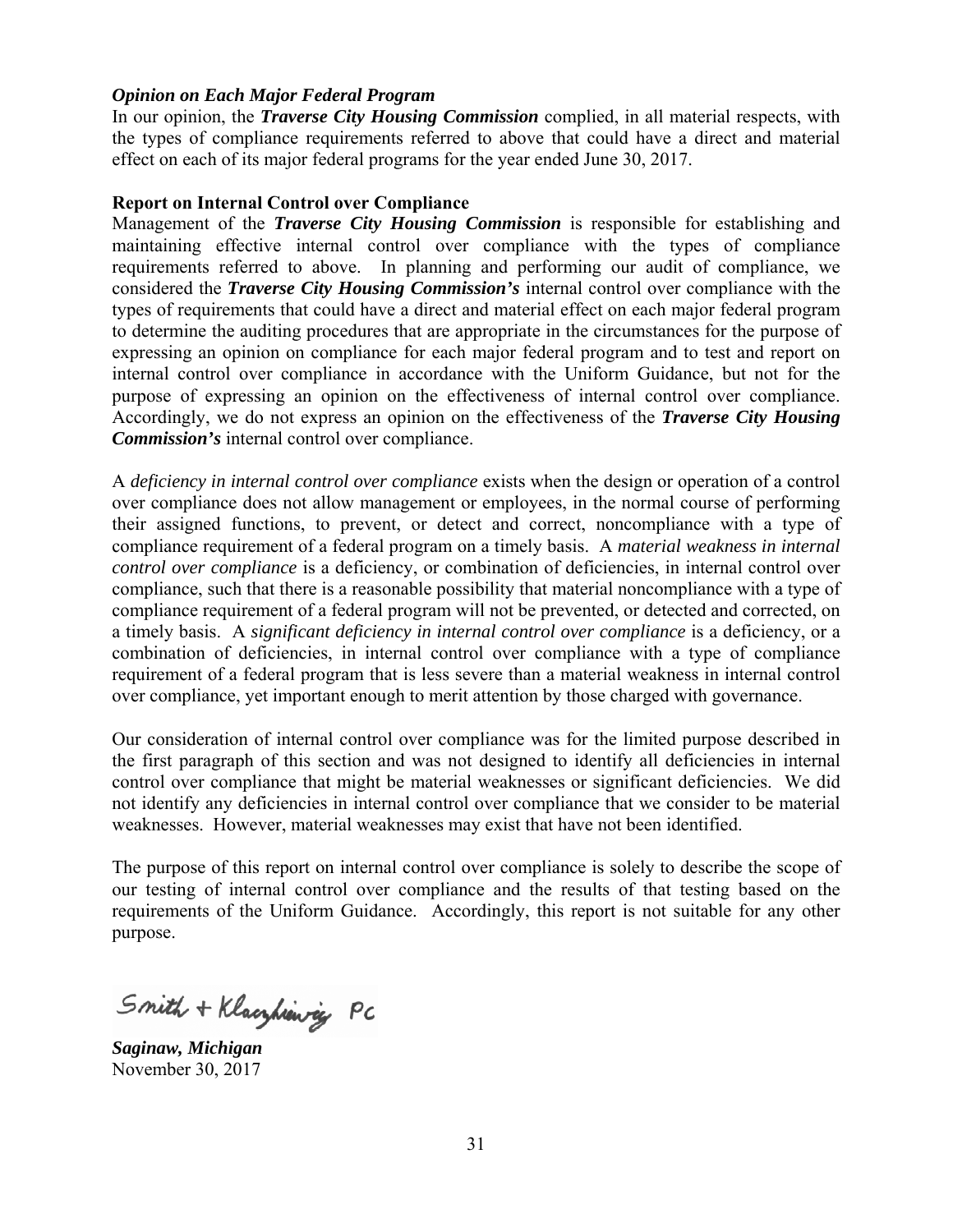### *Opinion on Each Major Federal Program*

In our opinion, the *Traverse City Housing Commission* complied, in all material respects, with the types of compliance requirements referred to above that could have a direct and material effect on each of its major federal programs for the year ended June 30, 2017.

#### **Report on Internal Control over Compliance**

Management of the *Traverse City Housing Commission* is responsible for establishing and maintaining effective internal control over compliance with the types of compliance requirements referred to above. In planning and performing our audit of compliance, we considered the *Traverse City Housing Commission's* internal control over compliance with the types of requirements that could have a direct and material effect on each major federal program to determine the auditing procedures that are appropriate in the circumstances for the purpose of expressing an opinion on compliance for each major federal program and to test and report on internal control over compliance in accordance with the Uniform Guidance, but not for the purpose of expressing an opinion on the effectiveness of internal control over compliance. Accordingly, we do not express an opinion on the effectiveness of the *Traverse City Housing Commission's* internal control over compliance.

A *deficiency in internal control over compliance* exists when the design or operation of a control over compliance does not allow management or employees, in the normal course of performing their assigned functions, to prevent, or detect and correct, noncompliance with a type of compliance requirement of a federal program on a timely basis. A *material weakness in internal control over compliance* is a deficiency, or combination of deficiencies, in internal control over compliance, such that there is a reasonable possibility that material noncompliance with a type of compliance requirement of a federal program will not be prevented, or detected and corrected, on a timely basis. A *significant deficiency in internal control over compliance* is a deficiency, or a combination of deficiencies, in internal control over compliance with a type of compliance requirement of a federal program that is less severe than a material weakness in internal control over compliance, yet important enough to merit attention by those charged with governance.

Our consideration of internal control over compliance was for the limited purpose described in the first paragraph of this section and was not designed to identify all deficiencies in internal control over compliance that might be material weaknesses or significant deficiencies. We did not identify any deficiencies in internal control over compliance that we consider to be material weaknesses. However, material weaknesses may exist that have not been identified.

The purpose of this report on internal control over compliance is solely to describe the scope of our testing of internal control over compliance and the results of that testing based on the requirements of the Uniform Guidance. Accordingly, this report is not suitable for any other purpose.

Smith + Klacyhiavieg PC

*Saginaw, Michigan*  November 30, 2017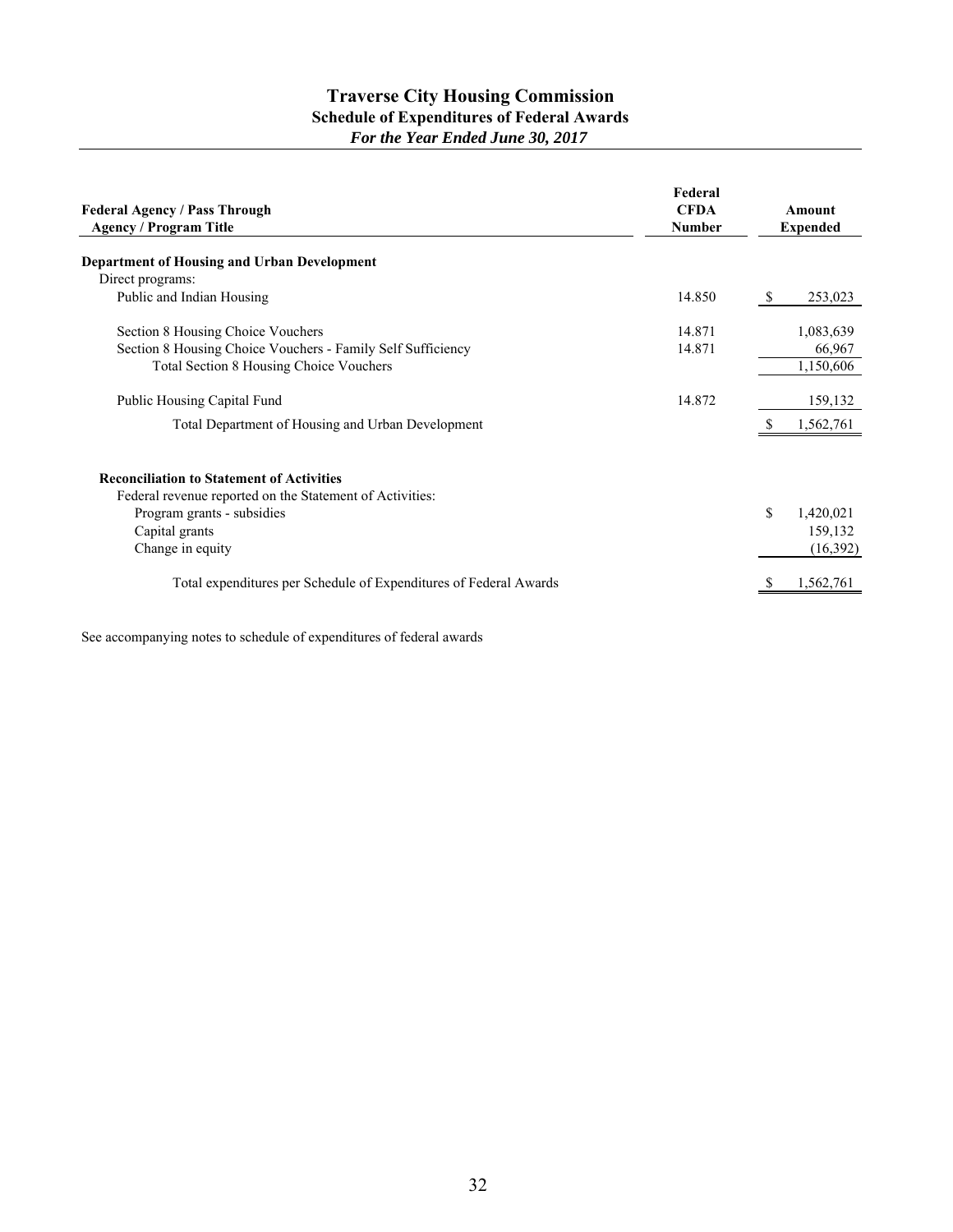### **Traverse City Housing Commission Schedule of Expenditures of Federal Awards** *For the Year Ended June 30, 2017*

| <b>Federal Agency / Pass Through</b><br><b>Agency / Program Title</b> | Federal<br><b>CFDA</b><br><b>Number</b> |    | Amount<br><b>Expended</b> |
|-----------------------------------------------------------------------|-----------------------------------------|----|---------------------------|
| Department of Housing and Urban Development                           |                                         |    |                           |
| Direct programs:                                                      |                                         |    |                           |
| Public and Indian Housing                                             | 14.850                                  | -S | 253,023                   |
| Section 8 Housing Choice Vouchers                                     | 14.871                                  |    | 1,083,639                 |
| Section 8 Housing Choice Vouchers - Family Self Sufficiency           | 14.871                                  |    | 66,967                    |
| Total Section 8 Housing Choice Vouchers                               |                                         |    | 1,150,606                 |
| Public Housing Capital Fund                                           | 14.872                                  |    | 159,132                   |
| Total Department of Housing and Urban Development                     |                                         |    | 1,562,761                 |
| <b>Reconciliation to Statement of Activities</b>                      |                                         |    |                           |
| Federal revenue reported on the Statement of Activities:              |                                         |    |                           |
| Program grants - subsidies                                            |                                         | S  | 1,420,021                 |
| Capital grants                                                        |                                         |    | 159,132                   |
| Change in equity                                                      |                                         |    | (16,392)                  |
| Total expenditures per Schedule of Expenditures of Federal Awards     |                                         |    | 1,562,761                 |
|                                                                       |                                         |    |                           |

See accompanying notes to schedule of expenditures of federal awards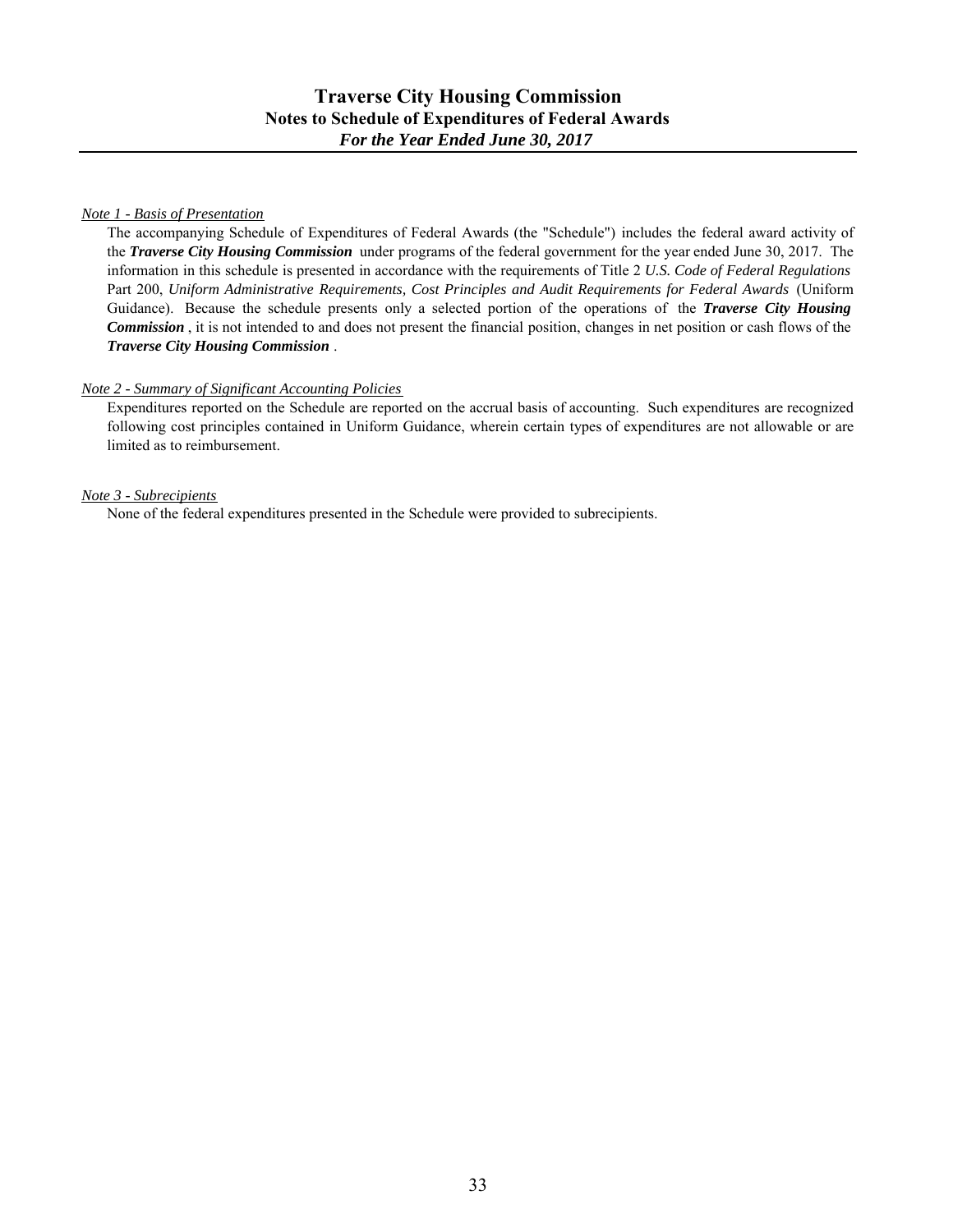#### *Note 1 - Basis of Presentation*

The accompanying Schedule of Expenditures of Federal Awards (the "Schedule") includes the federal award activity of the *Traverse City Housing Commission* under programs of the federal government for the year ended June 30, 2017. The information in this schedule is presented in accordance with the requirements of Title 2 *U.S. Code of Federal Regulations* Part 200, *Uniform Administrative Requirements, Cost Principles and Audit Requirements for Federal Awards* (Uniform Guidance). Because the schedule presents only a selected portion of the operations of the *Traverse City Housing Commission* , it is not intended to and does not present the financial position, changes in net position or cash flows of the *Traverse City Housing Commission* .

#### *Note 2 - Summary of Significant Accounting Policies*

Expenditures reported on the Schedule are reported on the accrual basis of accounting. Such expenditures are recognized following cost principles contained in Uniform Guidance, wherein certain types of expenditures are not allowable or are limited as to reimbursement.

#### *Note 3 - Subrecipients*

None of the federal expenditures presented in the Schedule were provided to subrecipients.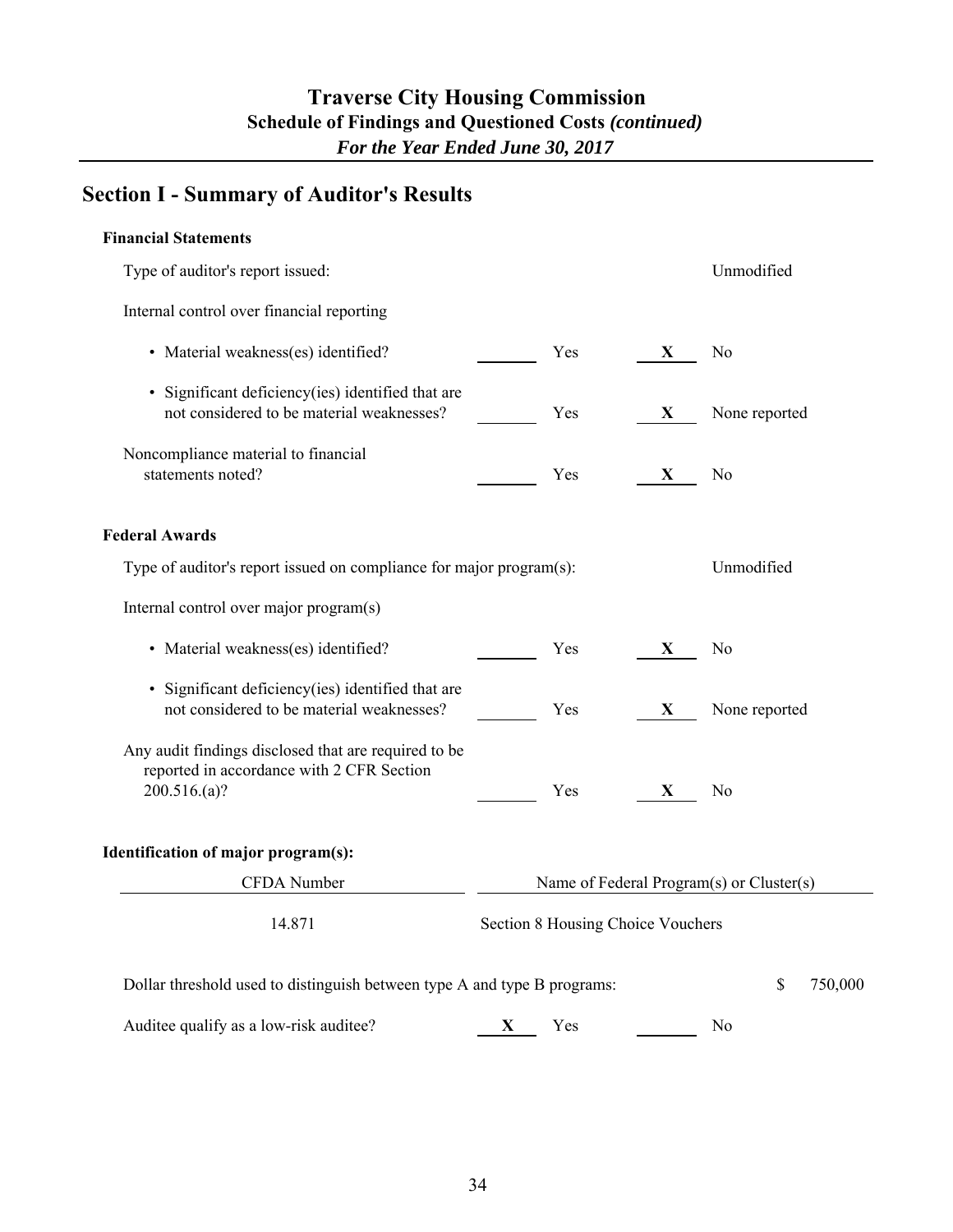### **Section I - Summary of Auditor's Results**

# **Financial Statements** Type of auditor's report issued: Unmodified Internal control over financial reporting • Material weakness(es) identified? Yes **X** No • Significant deficiency(ies) identified that are not considered to be material weaknesses? Yes X None reported Noncompliance material to financial statements noted? **Yes X** No **Federal Awards** Type of auditor's report issued on compliance for major program(s): Unmodified Internal control over major program(s) • Material weakness(es) identified? Yes **X** No • Significant deficiency(ies) identified that are not considered to be material weaknesses? Yes X None reported Any audit findings disclosed that are required to be reported in accordance with 2 CFR Section 200.516.(a)? Yes **X** No **Identification of major program(s):**

| CFDA Number                                                              | Name of Federal Program(s) or Cluster(s) |  |         |  |  |
|--------------------------------------------------------------------------|------------------------------------------|--|---------|--|--|
| 14.871                                                                   | Section 8 Housing Choice Vouchers        |  |         |  |  |
| Dollar threshold used to distinguish between type A and type B programs: |                                          |  | 750,000 |  |  |

Auditee qualify as a low-risk auditee? **X** Yes No